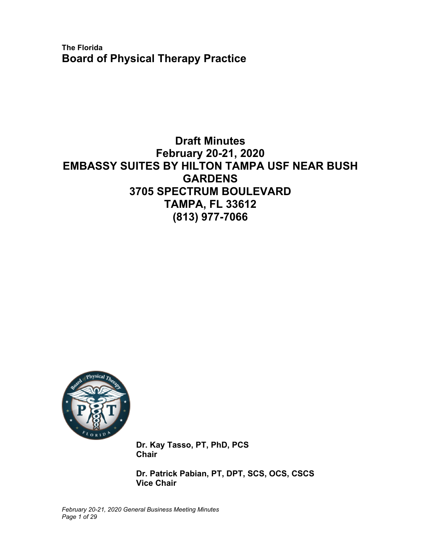**The Florida Board of Physical Therapy Practice** 

# **Draft Minutes February 20-21, 2020 EMBASSY SUITES BY HILTON TAMPA USF NEAR BUSH GARDENS 3705 SPECTRUM BOULEVARD TAMPA, FL 33612 (813) 977-7066**



**Dr. Kay Tasso, PT, PhD, PCS Chair** 

**Dr. Patrick Pabian, PT, DPT, SCS, OCS, CSCS Vice Chair**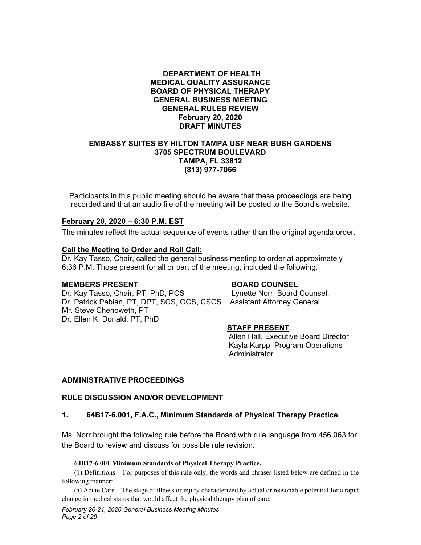#### **DEPARTMENT OF HEALTH MEDICAL QUALITY ASSURANCE BOARD OF PHYSICAL THERAPY GENERAL BUSINESS MEETING GENERAL RULES REVIEW February 20, 2020 DRAFT MINUTES**

#### **EMBASSY SUITES BY HILTON TAMPA USF NEAR BUSH GARDENS 3705 SPECTRUM BOULEVARD TAMPA, FL 33612 (813) 977-7066**

Participants in this public meeting should be aware that these proceedings are being recorded and that an audio file of the meeting will be posted to the Board's website.

#### **February 20, 2020 – 6:30 P.M. EST**

The minutes reflect the actual sequence of events rather than the original agenda order.

#### **Call the Meeting to Order and Roll Call:**

Dr. Kay Tasso, Chair, called the general business meeting to order at approximately 6:36 P.M. Those present for all or part of the meeting, included the following:

#### **MEMBERS PRESENT BOARD COUNSEL**

Dr. Kay Tasso, Chair, PT, PhD, PCS Lynette Norr, Board Counsel, Dr. Patrick Pabian, PT, DPT, SCS, OCS, CSCS Assistant Attorney General Mr. Steve Chenoweth, PT Dr. Ellen K. Donald, PT, PhD

#### **STAFF PRESENT**

Allen Hall, Executive Board Director Kayla Karpp, Program Operations Administrator

#### **ADMINISTRATIVE PROCEEDINGS**

#### **RULE DISCUSSION AND/OR DEVELOPMENT**

#### **1. 64B17-6.001, F.A.C., Minimum Standards of Physical Therapy Practice**

Ms. Norr brought the following rule before the Board with rule language from 456.063 for the Board to review and discuss for possible rule revision.

#### **64B17-6.001 Minimum Standards of Physical Therapy Practice.**

(1) Definitions – For purposes of this rule only, the words and phrases listed below are defined in the following manner:

(a) Acute Care – The stage of illness or injury characterized by actual or reasonable potential for a rapid change in medical status that would affect the physical therapy plan of care.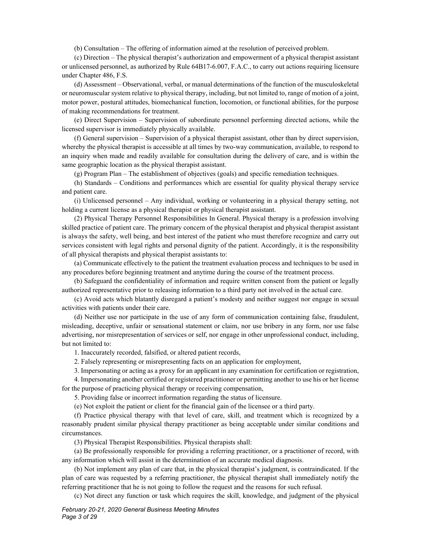(b) Consultation – The offering of information aimed at the resolution of perceived problem.

(c) Direction – The physical therapist's authorization and empowerment of a physical therapist assistant or unlicensed personnel, as authorized by Rule 64B17-6.007, F.A.C., to carry out actions requiring licensure under Chapter 486, F.S.

(d) Assessment – Observational, verbal, or manual determinations of the function of the musculoskeletal or neuromuscular system relative to physical therapy, including, but not limited to, range of motion of a joint, motor power, postural attitudes, biomechanical function, locomotion, or functional abilities, for the purpose of making recommendations for treatment.

(e) Direct Supervision – Supervision of subordinate personnel performing directed actions, while the licensed supervisor is immediately physically available.

(f) General supervision – Supervision of a physical therapist assistant, other than by direct supervision, whereby the physical therapist is accessible at all times by two-way communication, available, to respond to an inquiry when made and readily available for consultation during the delivery of care, and is within the same geographic location as the physical therapist assistant.

(g) Program Plan – The establishment of objectives (goals) and specific remediation techniques.

(h) Standards – Conditions and performances which are essential for quality physical therapy service and patient care.

(i) Unlicensed personnel – Any individual, working or volunteering in a physical therapy setting, not holding a current license as a physical therapist or physical therapist assistant.

(2) Physical Therapy Personnel Responsibilities In General. Physical therapy is a profession involving skilled practice of patient care. The primary concern of the physical therapist and physical therapist assistant is always the safety, well being, and best interest of the patient who must therefore recognize and carry out services consistent with legal rights and personal dignity of the patient. Accordingly, it is the responsibility of all physical therapists and physical therapist assistants to:

(a) Communicate effectively to the patient the treatment evaluation process and techniques to be used in any procedures before beginning treatment and anytime during the course of the treatment process.

(b) Safeguard the confidentiality of information and require written consent from the patient or legally authorized representative prior to releasing information to a third party not involved in the actual care.

(c) Avoid acts which blatantly disregard a patient's modesty and neither suggest nor engage in sexual activities with patients under their care.

(d) Neither use nor participate in the use of any form of communication containing false, fraudulent, misleading, deceptive, unfair or sensational statement or claim, nor use bribery in any form, nor use false advertising, nor misrepresentation of services or self, nor engage in other unprofessional conduct, including, but not limited to:

1. Inaccurately recorded, falsified, or altered patient records,

2. Falsely representing or misrepresenting facts on an application for employment,

3. Impersonating or acting as a proxy for an applicant in any examination for certification or registration,

4. Impersonating another certified or registered practitioner or permitting another to use his or her license for the purpose of practicing physical therapy or receiving compensation,

5. Providing false or incorrect information regarding the status of licensure.

(e) Not exploit the patient or client for the financial gain of the licensee or a third party.

(f) Practice physical therapy with that level of care, skill, and treatment which is recognized by a reasonably prudent similar physical therapy practitioner as being acceptable under similar conditions and circumstances.

(3) Physical Therapist Responsibilities. Physical therapists shall:

(a) Be professionally responsible for providing a referring practitioner, or a practitioner of record, with any information which will assist in the determination of an accurate medical diagnosis.

(b) Not implement any plan of care that, in the physical therapist's judgment, is contraindicated. If the plan of care was requested by a referring practitioner, the physical therapist shall immediately notify the referring practitioner that he is not going to follow the request and the reasons for such refusal.

(c) Not direct any function or task which requires the skill, knowledge, and judgment of the physical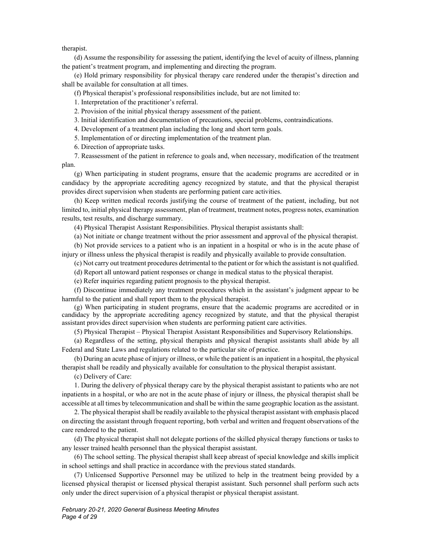therapist.

(d) Assume the responsibility for assessing the patient, identifying the level of acuity of illness, planning the patient's treatment program, and implementing and directing the program.

(e) Hold primary responsibility for physical therapy care rendered under the therapist's direction and shall be available for consultation at all times.

(f) Physical therapist's professional responsibilities include, but are not limited to:

1. Interpretation of the practitioner's referral.

2. Provision of the initial physical therapy assessment of the patient.

3. Initial identification and documentation of precautions, special problems, contraindications.

4. Development of a treatment plan including the long and short term goals.

5. Implementation of or directing implementation of the treatment plan.

6. Direction of appropriate tasks.

7. Reassessment of the patient in reference to goals and, when necessary, modification of the treatment plan.

(g) When participating in student programs, ensure that the academic programs are accredited or in candidacy by the appropriate accrediting agency recognized by statute, and that the physical therapist provides direct supervision when students are performing patient care activities.

(h) Keep written medical records justifying the course of treatment of the patient, including, but not limited to, initial physical therapy assessment, plan of treatment, treatment notes, progress notes, examination results, test results, and discharge summary.

(4) Physical Therapist Assistant Responsibilities. Physical therapist assistants shall:

(a) Not initiate or change treatment without the prior assessment and approval of the physical therapist.

(b) Not provide services to a patient who is an inpatient in a hospital or who is in the acute phase of injury or illness unless the physical therapist is readily and physically available to provide consultation.

(c) Not carry out treatment procedures detrimental to the patient or for which the assistant is not qualified.

(d) Report all untoward patient responses or change in medical status to the physical therapist.

(e) Refer inquiries regarding patient prognosis to the physical therapist.

(f) Discontinue immediately any treatment procedures which in the assistant's judgment appear to be harmful to the patient and shall report them to the physical therapist.

(g) When participating in student programs, ensure that the academic programs are accredited or in candidacy by the appropriate accrediting agency recognized by statute, and that the physical therapist assistant provides direct supervision when students are performing patient care activities.

(5) Physical Therapist – Physical Therapist Assistant Responsibilities and Supervisory Relationships.

(a) Regardless of the setting, physical therapists and physical therapist assistants shall abide by all Federal and State Laws and regulations related to the particular site of practice.

(b) During an acute phase of injury or illness, or while the patient is an inpatient in a hospital, the physical therapist shall be readily and physically available for consultation to the physical therapist assistant.

(c) Delivery of Care:

1. During the delivery of physical therapy care by the physical therapist assistant to patients who are not inpatients in a hospital, or who are not in the acute phase of injury or illness, the physical therapist shall be accessible at all times by telecommunication and shall be within the same geographic location as the assistant.

2. The physical therapist shall be readily available to the physical therapist assistant with emphasis placed on directing the assistant through frequent reporting, both verbal and written and frequent observations of the care rendered to the patient.

(d) The physical therapist shall not delegate portions of the skilled physical therapy functions or tasks to any lesser trained health personnel than the physical therapist assistant.

(6) The school setting. The physical therapist shall keep abreast of special knowledge and skills implicit in school settings and shall practice in accordance with the previous stated standards.

(7) Unlicensed Supportive Personnel may be utilized to help in the treatment being provided by a licensed physical therapist or licensed physical therapist assistant. Such personnel shall perform such acts only under the direct supervision of a physical therapist or physical therapist assistant.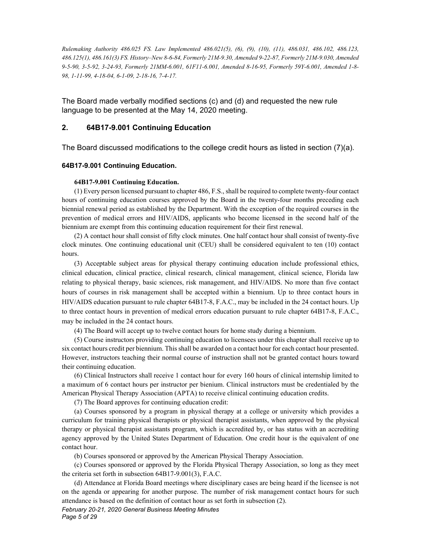*Rulemaking Authority 486.025 FS. Law Implemented 486.021(5), (6), (9), (10), (11), 486.031, 486.102, 486.123, 486.125(1), 486.161(3) FS. History–New 8-6-84, Formerly 21M-9.30, Amended 9-22-87, Formerly 21M-9.030, Amended 9-5-90, 3-5-92, 3-24-93, Formerly 21MM-6.001, 61F11-6.001, Amended 8-16-95, Formerly 59Y-6.001, Amended 1-8- 98, 1-11-99, 4-18-04, 6-1-09, 2-18-16, 7-4-17.*

The Board made verbally modified sections (c) and (d) and requested the new rule language to be presented at the May 14, 2020 meeting.

#### **2. 64B17-9.001 Continuing Education**

The Board discussed modifications to the college credit hours as listed in section (7)(a).

#### **64B17-9.001 Continuing Education.**

#### **64B17-9.001 Continuing Education.**

(1) Every person licensed pursuant to chapter 486, F.S., shall be required to complete twenty-four contact hours of continuing education courses approved by the Board in the twenty-four months preceding each biennial renewal period as established by the Department. With the exception of the required courses in the prevention of medical errors and HIV/AIDS, applicants who become licensed in the second half of the biennium are exempt from this continuing education requirement for their first renewal.

(2) A contact hour shall consist of fifty clock minutes. One half contact hour shall consist of twenty-five clock minutes. One continuing educational unit (CEU) shall be considered equivalent to ten (10) contact hours.

(3) Acceptable subject areas for physical therapy continuing education include professional ethics, clinical education, clinical practice, clinical research, clinical management, clinical science, Florida law relating to physical therapy, basic sciences, risk management, and HIV/AIDS. No more than five contact hours of courses in risk management shall be accepted within a biennium. Up to three contact hours in HIV/AIDS education pursuant to rule chapter 64B17-8, F.A.C., may be included in the 24 contact hours. Up to three contact hours in prevention of medical errors education pursuant to rule chapter 64B17-8, F.A.C., may be included in the 24 contact hours.

(4) The Board will accept up to twelve contact hours for home study during a biennium.

(5) Course instructors providing continuing education to licensees under this chapter shall receive up to six contact hours credit per biennium. This shall be awarded on a contact hour for each contact hour presented. However, instructors teaching their normal course of instruction shall not be granted contact hours toward their continuing education.

(6) Clinical Instructors shall receive 1 contact hour for every 160 hours of clinical internship limited to a maximum of 6 contact hours per instructor per bienium. Clinical instructors must be credentialed by the American Physical Therapy Association (APTA) to receive clinical continuing education credits.

(7) The Board approves for continuing education credit:

(a) Courses sponsored by a program in physical therapy at a college or university which provides a curriculum for training physical therapists or physical therapist assistants, when approved by the physical therapy or physical therapist assistants program, which is accredited by, or has status with an accrediting agency approved by the United States Department of Education. One credit hour is the equivalent of one contact hour.

(b) Courses sponsored or approved by the American Physical Therapy Association.

(c) Courses sponsored or approved by the Florida Physical Therapy Association, so long as they meet the criteria set forth in subsection 64B17-9.001(3), F.A.C.

(d) Attendance at Florida Board meetings where disciplinary cases are being heard if the licensee is not on the agenda or appearing for another purpose. The number of risk management contact hours for such attendance is based on the definition of contact hour as set forth in subsection (2).

*February 20-21, 2020 General Business Meeting Minutes Page 5 of 29*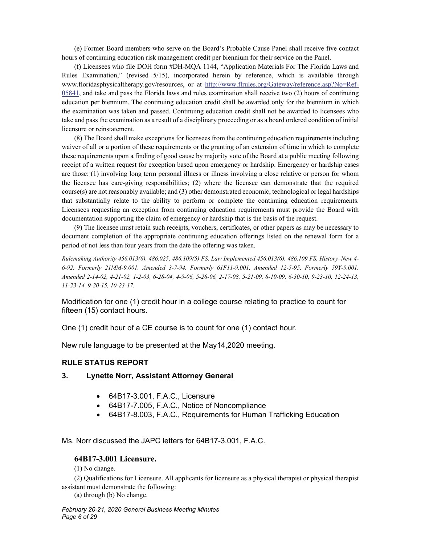(e) Former Board members who serve on the Board's Probable Cause Panel shall receive five contact hours of continuing education risk management credit per biennium for their service on the Panel.

(f) Licensees who file DOH form #DH-MQA 1144, "Application Materials For The Florida Laws and Rules Examination," (revised 5/15), incorporated herein by reference, which is available through www.floridasphysicaltherapy.gov/resources, or at http://www.flrules.org/Gateway/reference.asp?No=Ref-05841, and take and pass the Florida laws and rules examination shall receive two (2) hours of continuing education per biennium. The continuing education credit shall be awarded only for the biennium in which the examination was taken and passed. Continuing education credit shall not be awarded to licensees who take and pass the examination as a result of a disciplinary proceeding or as a board ordered condition of initial licensure or reinstatement.

(8) The Board shall make exceptions for licensees from the continuing education requirements including waiver of all or a portion of these requirements or the granting of an extension of time in which to complete these requirements upon a finding of good cause by majority vote of the Board at a public meeting following receipt of a written request for exception based upon emergency or hardship. Emergency or hardship cases are those: (1) involving long term personal illness or illness involving a close relative or person for whom the licensee has care-giving responsibilities; (2) where the licensee can demonstrate that the required course(s) are not reasonably available; and (3) other demonstrated economic, technological or legal hardships that substantially relate to the ability to perform or complete the continuing education requirements. Licensees requesting an exception from continuing education requirements must provide the Board with documentation supporting the claim of emergency or hardship that is the basis of the request.

(9) The licensee must retain such receipts, vouchers, certificates, or other papers as may be necessary to document completion of the appropriate continuing education offerings listed on the renewal form for a period of not less than four years from the date the offering was taken.

*Rulemaking Authority 456.013(6), 486.025, 486.109(5) FS. Law Implemented 456.013(6), 486.109 FS. History–New 4- 6-92, Formerly 21MM-9.001, Amended 3-7-94, Formerly 61F11-9.001, Amended 12-5-95, Formerly 59Y-9.001, Amended 2-14-02, 4-21-02, 1-2-03, 6-28-04, 4-9-06, 5-28-06, 2-17-08, 5-21-09, 8-10-09, 6-30-10, 9-23-10, 12-24-13, 11-23-14, 9-20-15, 10-23-17.*

Modification for one (1) credit hour in a college course relating to practice to count for fifteen (15) contact hours.

One (1) credit hour of a CE course is to count for one (1) contact hour.

New rule language to be presented at the May14,2020 meeting.

#### **RULE STATUS REPORT**

#### **3. Lynette Norr, Assistant Attorney General**

- 64B17-3.001, F.A.C., Licensure
- 64B17-7.005, F.A.C., Notice of Noncompliance
- 64B17-8.003, F.A.C., Requirements for Human Trafficking Education

Ms. Norr discussed the JAPC letters for 64B17-3.001, F.A.C.

#### **64B17-3.001 Licensure.**

(1) No change.

(2) Qualifications for Licensure. All applicants for licensure as a physical therapist or physical therapist assistant must demonstrate the following:

(a) through (b) No change.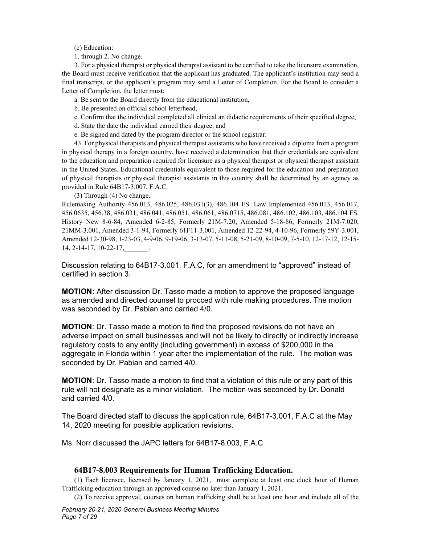(c) Education:

1. through 2. No change.

3. For a physical therapist or physical therapist assistant to be certified to take the licensure examination, the Board must receive verification that the applicant has graduated. The applicant's institution may send a final transcript, or the applicant's program may send a Letter of Completion. For the Board to consider a Letter of Completion, the letter must:

a. Be sent to the Board directly from the educational institution,

b. Be presented on official school letterhead,

c. Confirm that the individual completed all clinical an didactic requirements of their specified degree,

d. State the date the individual earned their degree, and

e. Be signed and dated by the program director or the school registrar.

43. For physical therapists and physical therapist assistants who have received a diploma from a program in physical therapy in a foreign country, have received a determination that their credentials are equivalent to the education and preparation required for licensure as a physical therapist or physical therapist assistant in the United States. Educational credentials equivalent to those required for the education and preparation of physical therapists or physical therapist assistants in this country shall be determined by an agency as provided in Rule 64B17-3.007, F.A.C.

(3) Through (4) No change.

Rulemaking Authority 456.013, 486.025, 486.031(3), 486.104 FS. Law Implemented 456.013, 456.017, 456.0635, 456.38, 486.031, 486.041, 486.051, 486.061, 486.0715, 486.081, 486.102, 486.103, 486.104 FS. History–New 8-6-84, Amended 6-2-85, Formerly 21M-7.20, Amended 5-18-86, Formerly 21M-7.020, 21MM-3.001, Amended 3-1-94, Formerly 61F11-3.001, Amended 12-22-94, 4-10-96, Formerly 59Y-3.001, Amended 12-30-98, 1-23-03, 4-9-06, 9-19-06, 3-13-07, 5-11-08, 5-21-09, 8-10-09, 7-5-10, 12-17-12, 12-15- 14, 2-14-17, 10-22-17,\_\_\_\_\_\_\_.

Discussion relating to 64B17-3.001, F.A.C, for an amendment to "approved" instead of certified in section 3.

**MOTION:** After discussion Dr. Tasso made a motion to approve the proposed language as amended and directed counsel to procced with rule making procedures. The motion was seconded by Dr. Pabian and carried 4/0.

**MOTION**: Dr. Tasso made a motion to find the proposed revisions do not have an adverse impact on small businesses and will not be likely to directly or indirectly increase regulatory costs to any entity (including government) in excess of \$200,000 in the aggregate in Florida within 1 year after the implementation of the rule. The motion was seconded by Dr. Pabian and carried 4/0.

**MOTION**: Dr. Tasso made a motion to find that a violation of this rule or any part of this rule will not designate as a minor violation. The motion was seconded by Dr. Donald and carried 4/0.

The Board directed staff to discuss the application rule, 64B17-3.001, F.A.C at the May 14, 2020 meeting for possible application revisions.

Ms. Norr discussed the JAPC letters for 64B17-8.003, F.A.C

#### **64B17-8.003 Requirements for Human Trafficking Education.**

(1) Each licensee, licensed by January 1, 2021, must complete at least one clock hour of Human Trafficking education through an approved course no later than January 1, 2021.

(2) To receive approval, courses on human trafficking shall be at least one hour and include all of the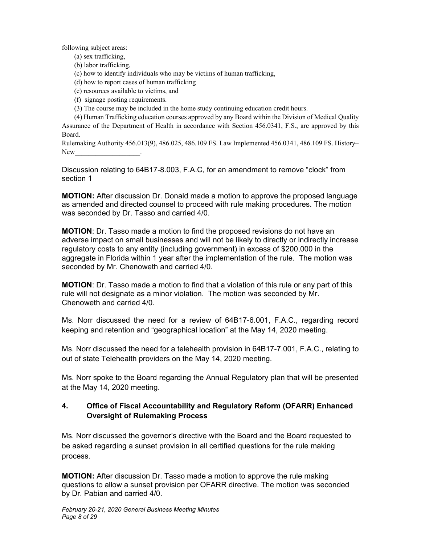following subject areas:

(a) sex trafficking, (b) labor trafficking,

(c) how to identify individuals who may be victims of human trafficking,

- (d) how to report cases of human trafficking
- (e) resources available to victims, and
- (f) signage posting requirements.
- (3) The course may be included in the home study continuing education credit hours.

(4) Human Trafficking education courses approved by any Board within the Division of Medical Quality Assurance of the Department of Health in accordance with Section 456.0341, F.S., are approved by this Board.

Rulemaking Authority 456.013(9), 486.025, 486.109 FS. Law Implemented 456.0341, 486.109 FS. History– New

Discussion relating to 64B17-8.003, F.A.C, for an amendment to remove "clock" from section 1

**MOTION:** After discussion Dr. Donald made a motion to approve the proposed language as amended and directed counsel to proceed with rule making procedures. The motion was seconded by Dr. Tasso and carried 4/0.

**MOTION**: Dr. Tasso made a motion to find the proposed revisions do not have an adverse impact on small businesses and will not be likely to directly or indirectly increase regulatory costs to any entity (including government) in excess of \$200,000 in the aggregate in Florida within 1 year after the implementation of the rule. The motion was seconded by Mr. Chenoweth and carried 4/0.

**MOTION**: Dr. Tasso made a motion to find that a violation of this rule or any part of this rule will not designate as a minor violation. The motion was seconded by Mr. Chenoweth and carried 4/0.

Ms. Norr discussed the need for a review of 64B17-6.001, F.A.C., regarding record keeping and retention and "geographical location" at the May 14, 2020 meeting.

Ms. Norr discussed the need for a telehealth provision in 64B17-7.001, F.A.C., relating to out of state Telehealth providers on the May 14, 2020 meeting.

Ms. Norr spoke to the Board regarding the Annual Regulatory plan that will be presented at the May 14, 2020 meeting.

## **4. Office of Fiscal Accountability and Regulatory Reform (OFARR) Enhanced Oversight of Rulemaking Process**

Ms. Norr discussed the governor's directive with the Board and the Board requested to be asked regarding a sunset provision in all certified questions for the rule making process.

**MOTION:** After discussion Dr. Tasso made a motion to approve the rule making questions to allow a sunset provision per OFARR directive. The motion was seconded by Dr. Pabian and carried 4/0.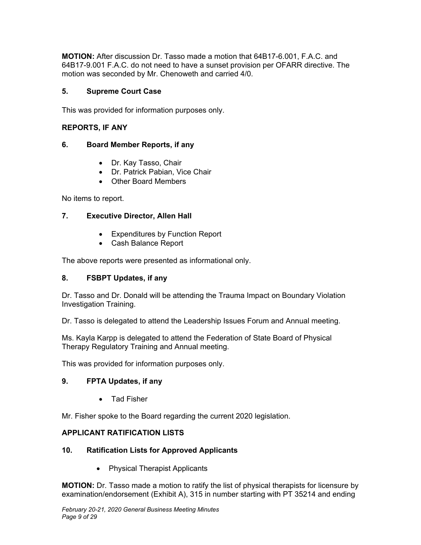**MOTION:** After discussion Dr. Tasso made a motion that 64B17-6.001, F.A.C. and 64B17-9.001 F.A.C. do not need to have a sunset provision per OFARR directive. The motion was seconded by Mr. Chenoweth and carried 4/0.

#### **5. Supreme Court Case**

This was provided for information purposes only.

#### **REPORTS, IF ANY**

#### **6. Board Member Reports, if any**

- Dr. Kay Tasso, Chair
- Dr. Patrick Pabian, Vice Chair
- Other Board Members

No items to report.

#### **7. Executive Director, Allen Hall**

- Expenditures by Function Report
- Cash Balance Report

The above reports were presented as informational only.

#### **8. FSBPT Updates, if any**

Dr. Tasso and Dr. Donald will be attending the Trauma Impact on Boundary Violation Investigation Training.

Dr. Tasso is delegated to attend the Leadership Issues Forum and Annual meeting.

Ms. Kayla Karpp is delegated to attend the Federation of State Board of Physical Therapy Regulatory Training and Annual meeting.

This was provided for information purposes only.

#### **9. FPTA Updates, if any**

• Tad Fisher

Mr. Fisher spoke to the Board regarding the current 2020 legislation.

#### **APPLICANT RATIFICATION LISTS**

#### **10. Ratification Lists for Approved Applicants**

• Physical Therapist Applicants

**MOTION:** Dr. Tasso made a motion to ratify the list of physical therapists for licensure by examination/endorsement (Exhibit A), 315 in number starting with PT 35214 and ending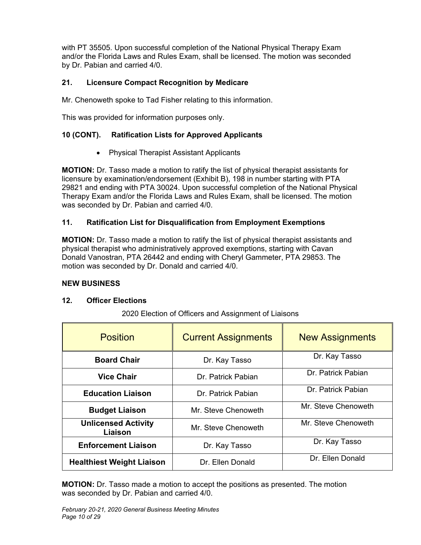with PT 35505. Upon successful completion of the National Physical Therapy Exam and/or the Florida Laws and Rules Exam, shall be licensed. The motion was seconded by Dr. Pabian and carried 4/0.

## **21. Licensure Compact Recognition by Medicare**

Mr. Chenoweth spoke to Tad Fisher relating to this information.

This was provided for information purposes only.

## **10 (CONT). Ratification Lists for Approved Applicants**

Physical Therapist Assistant Applicants

**MOTION:** Dr. Tasso made a motion to ratify the list of physical therapist assistants for licensure by examination/endorsement (Exhibit B), 198 in number starting with PTA 29821 and ending with PTA 30024. Upon successful completion of the National Physical Therapy Exam and/or the Florida Laws and Rules Exam, shall be licensed. The motion was seconded by Dr. Pabian and carried 4/0.

## **11. Ratification List for Disqualification from Employment Exemptions**

**MOTION:** Dr. Tasso made a motion to ratify the list of physical therapist assistants and physical therapist who administratively approved exemptions, starting with Cavan Donald Vanostran, PTA 26442 and ending with Cheryl Gammeter, PTA 29853. The motion was seconded by Dr. Donald and carried 4/0.

#### **NEW BUSINESS**

#### **12. Officer Elections**

| <b>Position</b>                       | <b>Current Assignments</b> | <b>New Assignments</b> |  |
|---------------------------------------|----------------------------|------------------------|--|
| <b>Board Chair</b>                    | Dr. Kay Tasso              | Dr. Kay Tasso          |  |
| <b>Vice Chair</b>                     | Dr. Patrick Pabian         | Dr. Patrick Pabian     |  |
| <b>Education Liaison</b>              | Dr. Patrick Pabian         | Dr. Patrick Pabian     |  |
| <b>Budget Liaison</b>                 | Mr. Steve Chenoweth        | Mr. Steve Chenoweth    |  |
| <b>Unlicensed Activity</b><br>Liaison | Mr. Steve Chenoweth        | Mr. Steve Chenoweth    |  |
| <b>Enforcement Liaison</b>            | Dr. Kay Tasso              | Dr. Kay Tasso          |  |
| <b>Healthiest Weight Liaison</b>      | Dr. Ellen Donald           | Dr. Ellen Donald       |  |

2020 Election of Officers and Assignment of Liaisons

**MOTION:** Dr. Tasso made a motion to accept the positions as presented. The motion was seconded by Dr. Pabian and carried 4/0.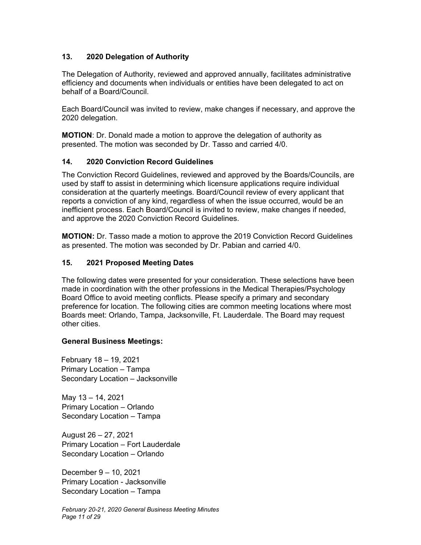#### **13. 2020 Delegation of Authority**

The Delegation of Authority, reviewed and approved annually, facilitates administrative efficiency and documents when individuals or entities have been delegated to act on behalf of a Board/Council.

Each Board/Council was invited to review, make changes if necessary, and approve the 2020 delegation.

**MOTION**: Dr. Donald made a motion to approve the delegation of authority as presented. The motion was seconded by Dr. Tasso and carried 4/0.

#### **14. 2020 Conviction Record Guidelines**

The Conviction Record Guidelines, reviewed and approved by the Boards/Councils, are used by staff to assist in determining which licensure applications require individual consideration at the quarterly meetings. Board/Council review of every applicant that reports a conviction of any kind, regardless of when the issue occurred, would be an inefficient process. Each Board/Council is invited to review, make changes if needed, and approve the 2020 Conviction Record Guidelines.

**MOTION:** Dr. Tasso made a motion to approve the 2019 Conviction Record Guidelines as presented. The motion was seconded by Dr. Pabian and carried 4/0.

#### **15. 2021 Proposed Meeting Dates**

The following dates were presented for your consideration. These selections have been made in coordination with the other professions in the Medical Therapies/Psychology Board Office to avoid meeting conflicts. Please specify a primary and secondary preference for location. The following cities are common meeting locations where most Boards meet: Orlando, Tampa, Jacksonville, Ft. Lauderdale. The Board may request other cities.

#### **General Business Meetings:**

February 18 – 19, 2021 Primary Location – Tampa Secondary Location – Jacksonville

May 13 – 14, 2021 Primary Location – Orlando Secondary Location – Tampa

August 26 – 27, 2021 Primary Location – Fort Lauderdale Secondary Location – Orlando

December 9 – 10, 2021 Primary Location - Jacksonville Secondary Location – Tampa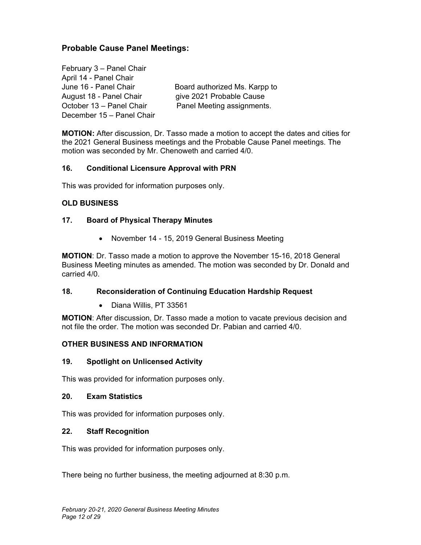## **Probable Cause Panel Meetings:**

February 3 – Panel Chair April 14 - Panel Chair June 16 - Panel Chair **Board authorized Ms. Karpp to** August 18 - Panel Chair give 2021 Probable Cause October 13 – Panel Chair Panel Meeting assignments. December 15 – Panel Chair

**MOTION:** After discussion, Dr. Tasso made a motion to accept the dates and cities for the 2021 General Business meetings and the Probable Cause Panel meetings. The motion was seconded by Mr. Chenoweth and carried 4/0.

#### **16. Conditional Licensure Approval with PRN**

This was provided for information purposes only.

#### **OLD BUSINESS**

#### **17. Board of Physical Therapy Minutes**

• November 14 - 15, 2019 General Business Meeting

**MOTION**: Dr. Tasso made a motion to approve the November 15-16, 2018 General Business Meeting minutes as amended. The motion was seconded by Dr. Donald and carried 4/0.

#### **18. Reconsideration of Continuing Education Hardship Request**

Diana Willis, PT 33561

**MOTION**: After discussion, Dr. Tasso made a motion to vacate previous decision and not file the order. The motion was seconded Dr. Pabian and carried 4/0.

#### **OTHER BUSINESS AND INFORMATION**

#### **19. Spotlight on Unlicensed Activity**

This was provided for information purposes only.

#### **20. Exam Statistics**

This was provided for information purposes only.

#### **22. Staff Recognition**

This was provided for information purposes only.

There being no further business, the meeting adjourned at 8:30 p.m.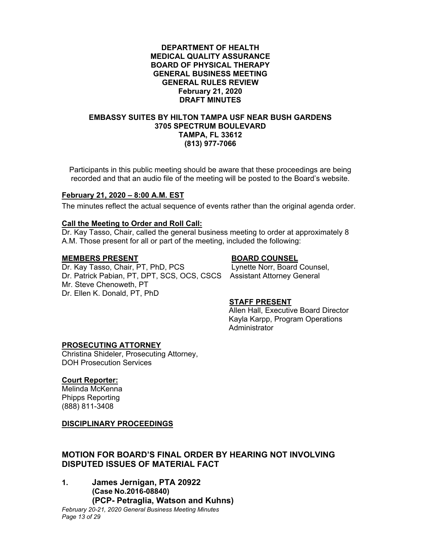#### **DEPARTMENT OF HEALTH MEDICAL QUALITY ASSURANCE BOARD OF PHYSICAL THERAPY GENERAL BUSINESS MEETING GENERAL RULES REVIEW February 21, 2020 DRAFT MINUTES**

#### **EMBASSY SUITES BY HILTON TAMPA USF NEAR BUSH GARDENS 3705 SPECTRUM BOULEVARD TAMPA, FL 33612 (813) 977-7066**

Participants in this public meeting should be aware that these proceedings are being recorded and that an audio file of the meeting will be posted to the Board's website.

#### **February 21, 2020 – 8:00 A.M. EST**

The minutes reflect the actual sequence of events rather than the original agenda order.

#### **Call the Meeting to Order and Roll Call:**

Dr. Kay Tasso, Chair, called the general business meeting to order at approximately 8 A.M. Those present for all or part of the meeting, included the following:

**MEMBERS PRESENT BOARD COUNSEL**  Dr. Kay Tasso, Chair, PT, PhD, PCS Dr. Patrick Pabian, PT, DPT, SCS, OCS, CSCS Assistant Attorney General Mr. Steve Chenoweth, PT Dr. Ellen K. Donald, PT, PhD

#### **STAFF PRESENT**

 Allen Hall, Executive Board Director Kayla Karpp, Program Operations Administrator

#### **PROSECUTING ATTORNEY**

Christina Shideler, Prosecuting Attorney, DOH Prosecution Services

#### **Court Reporter:**

Melinda McKenna Phipps Reporting (888) 811-3408

#### **DISCIPLINARY PROCEEDINGS**

#### **MOTION FOR BOARD'S FINAL ORDER BY HEARING NOT INVOLVING DISPUTED ISSUES OF MATERIAL FACT**

**1. James Jernigan, PTA 20922 (Case No.2016-08840) (PCP- Petraglia, Watson and Kuhns)**

*February 20-21, 2020 General Business Meeting Minutes Page 13 of 29*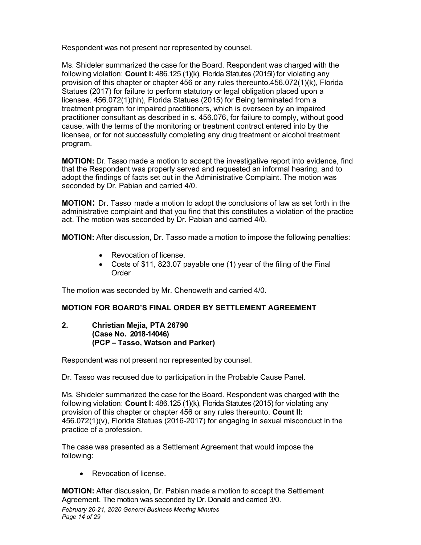Respondent was not present nor represented by counsel.

Ms. Shideler summarized the case for the Board. Respondent was charged with the following violation: **Count I:** 486.125 (1)(k), Florida Statutes (2015l) for violating any provision of this chapter or chapter 456 or any rules thereunto.456.072(1)(k), Florida Statues (2017) for failure to perform statutory or legal obligation placed upon a licensee. 456.072(1)(hh), Florida Statues (2015) for Being terminated from a treatment program for impaired practitioners, which is overseen by an impaired practitioner consultant as described in s. 456.076, for failure to comply, without good cause, with the terms of the monitoring or treatment contract entered into by the licensee, or for not successfully completing any drug treatment or alcohol treatment program.

**MOTION:** Dr. Tasso made a motion to accept the investigative report into evidence, find that the Respondent was properly served and requested an informal hearing, and to adopt the findings of facts set out in the Administrative Complaint. The motion was seconded by Dr, Pabian and carried 4/0.

**MOTION**: Dr. Tasso made a motion to adopt the conclusions of law as set forth in the administrative complaint and that you find that this constitutes a violation of the practice act. The motion was seconded by Dr. Pabian and carried 4/0.

**MOTION:** After discussion, Dr. Tasso made a motion to impose the following penalties:

- Revocation of license.
- Costs of \$11, 823.07 payable one (1) year of the filing of the Final Order

The motion was seconded by Mr. Chenoweth and carried 4/0.

## **MOTION FOR BOARD'S FINAL ORDER BY SETTLEMENT AGREEMENT**

#### **2. Christian Mejia, PTA 26790 (Case No. 2018-14046) (PCP – Tasso, Watson and Parker)**

Respondent was not present nor represented by counsel.

Dr. Tasso was recused due to participation in the Probable Cause Panel.

Ms. Shideler summarized the case for the Board. Respondent was charged with the following violation: **Count I:** 486.125 (1)(k), Florida Statutes (2015) for violating any provision of this chapter or chapter 456 or any rules thereunto. **Count II:** 456.072(1)(v), Florida Statues (2016-2017) for engaging in sexual misconduct in the practice of a profession.

The case was presented as a Settlement Agreement that would impose the following:

• Revocation of license.

**MOTION:** After discussion, Dr. Pabian made a motion to accept the Settlement Agreement. The motion was seconded by Dr. Donald and carried 3/0.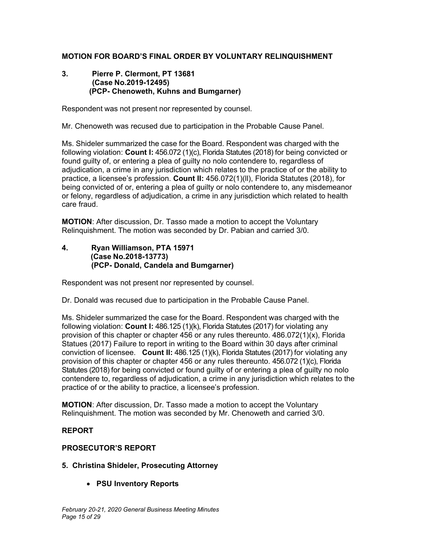#### **MOTION FOR BOARD'S FINAL ORDER BY VOLUNTARY RELINQUISHMENT**

#### **3. Pierre P. Clermont, PT 13681 (Case No.2019-12495) (PCP- Chenoweth, Kuhns and Bumgarner)**

Respondent was not present nor represented by counsel.

Mr. Chenoweth was recused due to participation in the Probable Cause Panel.

Ms. Shideler summarized the case for the Board. Respondent was charged with the following violation: **Count I:** 456.072 (1)(c), Florida Statutes (2018) for being convicted or found guilty of, or entering a plea of guilty no nolo contendere to, regardless of adjudication, a crime in any jurisdiction which relates to the practice of or the ability to practice, a licensee's profession. **Count II:** 456.072(1)(ll), Florida Statutes (2018), for being convicted of or, entering a plea of guilty or nolo contendere to, any misdemeanor or felony, regardless of adjudication, a crime in any jurisdiction which related to health care fraud.

**MOTION**: After discussion, Dr. Tasso made a motion to accept the Voluntary Relinquishment. The motion was seconded by Dr. Pabian and carried 3/0.

#### **4. Ryan Williamson, PTA 15971 (Case No.2018-13773) (PCP- Donald, Candela and Bumgarner)**

Respondent was not present nor represented by counsel.

Dr. Donald was recused due to participation in the Probable Cause Panel.

Ms. Shideler summarized the case for the Board. Respondent was charged with the following violation: **Count I:** 486.125 (1)(k), Florida Statutes (2017) for violating any provision of this chapter or chapter 456 or any rules thereunto. 486.072(1)(x), Florida Statues (2017) Failure to report in writing to the Board within 30 days after criminal conviction of licensee. **Count II:** 486.125 (1)(k), Florida Statutes (2017) for violating any provision of this chapter or chapter 456 or any rules thereunto. 456.072 (1)(c), Florida Statutes (2018) for being convicted or found guilty of or entering a plea of guilty no nolo contendere to, regardless of adjudication, a crime in any jurisdiction which relates to the practice of or the ability to practice, a licensee's profession.

**MOTION**: After discussion, Dr. Tasso made a motion to accept the Voluntary Relinquishment. The motion was seconded by Mr. Chenoweth and carried 3/0.

#### **REPORT**

#### **PROSECUTOR'S REPORT**

#### **5. Christina Shideler, Prosecuting Attorney**

**PSU Inventory Reports**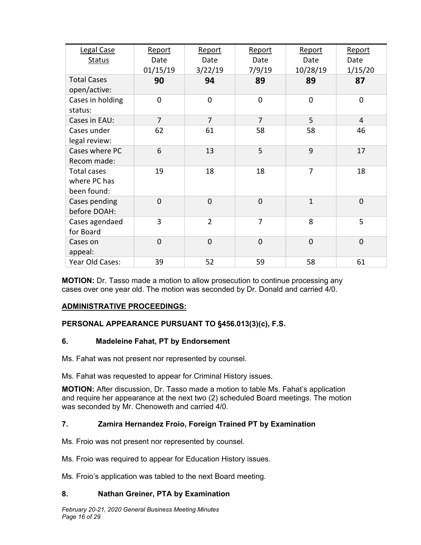| Legal Case<br><b>Status</b>                       | Report<br>Date<br>01/15/19 | Report<br>Date<br>3/22/19 | Report<br>Date<br>7/9/19 | Report<br>Date<br>10/28/19 | Report<br>Date<br>1/15/20 |
|---------------------------------------------------|----------------------------|---------------------------|--------------------------|----------------------------|---------------------------|
| <b>Total Cases</b><br>open/active:                | 90                         | 94                        | 89                       | 89                         | 87                        |
| Cases in holding<br>status:                       | $\Omega$                   | 0                         | $\mathbf 0$              | $\overline{0}$             | $\overline{0}$            |
| Cases in EAU:                                     | $\overline{7}$             | $\overline{7}$            | $\overline{7}$           | 5                          | $\overline{4}$            |
| Cases under<br>legal review:                      | 62                         | 61                        | 58                       | 58                         | 46                        |
| Cases where PC<br>Recom made:                     | 6                          | 13                        | 5                        | 9                          | 17                        |
| <b>Total cases</b><br>where PC has<br>been found: | 19                         | 18                        | 18                       | $\overline{7}$             | 18                        |
| Cases pending<br>before DOAH:                     | $\overline{0}$             | $\overline{0}$            | $\overline{0}$           | $\mathbf{1}$               | $\overline{0}$            |
| Cases agendaed<br>for Board                       | 3                          | $\overline{2}$            | 7                        | 8                          | 5                         |
| Cases on<br>appeal:                               | $\overline{0}$             | $\overline{0}$            | $\overline{0}$           | $\overline{0}$             | $\overline{0}$            |
| Year Old Cases:                                   | 39                         | 52                        | 59                       | 58                         | 61                        |

**MOTION:** Dr. Tasso made a motion to allow prosecution to continue processing any cases over one year old. The motion was seconded by Dr. Donald and carried 4/0.

## **ADMINISTRATIVE PROCEEDINGS:**

## **PERSONAL APPEARANCE PURSUANT TO §456.013(3)(c), F.S.**

#### **6. Madeleine Fahat, PT by Endorsement**

Ms. Fahat was not present nor represented by counsel.

Ms. Fahat was requested to appear for Criminal History issues.

**MOTION:** After discussion, Dr. Tasso made a motion to table Ms. Fahat's application and require her appearance at the next two (2) scheduled Board meetings. The motion was seconded by Mr. Chenoweth and carried 4/0.

#### **7. Zamira Hernandez Froio, Foreign Trained PT by Examination**

Ms. Froio was not present nor represented by counsel.

Ms. Froio was required to appear for Education History issues.

Ms. Froio's application was tabled to the next Board meeting.

#### **8. Nathan Greiner, PTA by Examination**

*February 20-21, 2020 General Business Meeting Minutes Page 16 of 29*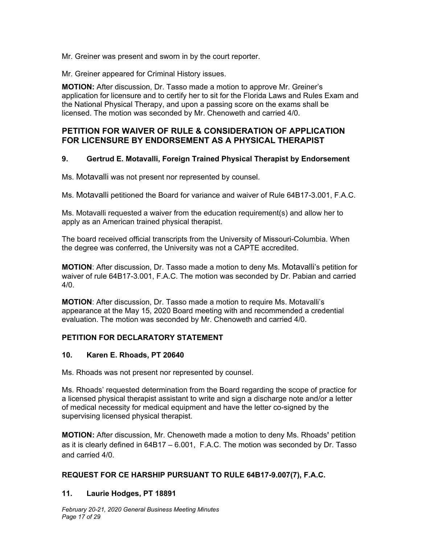Mr. Greiner was present and sworn in by the court reporter.

Mr. Greiner appeared for Criminal History issues.

**MOTION:** After discussion, Dr. Tasso made a motion to approve Mr. Greiner's application for licensure and to certify her to sit for the Florida Laws and Rules Exam and the National Physical Therapy, and upon a passing score on the exams shall be licensed. The motion was seconded by Mr. Chenoweth and carried 4/0.

## **PETITION FOR WAIVER OF RULE & CONSIDERATION OF APPLICATION FOR LICENSURE BY ENDORSEMENT AS A PHYSICAL THERAPIST**

#### **9. Gertrud E. Motavalli, Foreign Trained Physical Therapist by Endorsement**

Ms. Motavalli was not present nor represented by counsel.

Ms. Motavalli petitioned the Board for variance and waiver of Rule 64B17-3.001, F.A.C.

Ms. Motavalli requested a waiver from the education requirement(s) and allow her to apply as an American trained physical therapist.

The board received official transcripts from the University of Missouri-Columbia. When the degree was conferred, the University was not a CAPTE accredited.

**MOTION**: After discussion, Dr. Tasso made a motion to deny Ms. Motavalli's petition for waiver of rule 64B17-3.001, F.A.C. The motion was seconded by Dr. Pabian and carried 4/0.

**MOTION**: After discussion, Dr. Tasso made a motion to require Ms. Motavalli's appearance at the May 15, 2020 Board meeting with and recommended a credential evaluation. The motion was seconded by Mr. Chenoweth and carried 4/0.

## **PETITION FOR DECLARATORY STATEMENT**

#### **10. Karen E. Rhoads, PT 20640**

Ms. Rhoads was not present nor represented by counsel.

Ms. Rhoads' requested determination from the Board regarding the scope of practice for a licensed physical therapist assistant to write and sign a discharge note and/or a letter of medical necessity for medical equipment and have the letter co-signed by the supervising licensed physical therapist.

**MOTION:** After discussion, Mr. Chenoweth made a motion to deny Ms. Rhoads**'** petition as it is clearly defined in 64B17 – 6.001, F.A.C. The motion was seconded by Dr. Tasso and carried 4/0.

## **REQUEST FOR CE HARSHIP PURSUANT TO RULE 64B17-9.007(7), F.A.C.**

#### **11. Laurie Hodges, PT 18891**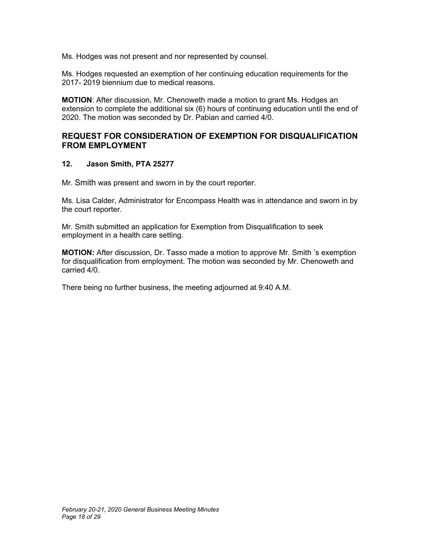Ms. Hodges was not present and nor represented by counsel.

Ms. Hodges requested an exemption of her continuing education requirements for the 2017- 2019 biennium due to medical reasons.

**MOTION**: After discussion, Mr. Chenoweth made a motion to grant Ms. Hodges an extension to complete the additional six (6) hours of continuing education until the end of 2020. The motion was seconded by Dr. Pabian and carried 4/0.

## **REQUEST FOR CONSIDERATION OF EXEMPTION FOR DISQUALIFICATION FROM EMPLOYMENT**

#### **12. Jason Smith, PTA 25277**

Mr. Smith was present and sworn in by the court reporter.

Ms. Lisa Calder, Administrator for Encompass Health was in attendance and sworn in by the court reporter.

Mr. Smith submitted an application for Exemption from Disqualification to seek employment in a health care setting.

**MOTION:** After discussion, Dr. Tasso made a motion to approve Mr. Smith 's exemption for disqualification from employment. The motion was seconded by Mr. Chenoweth and carried 4/0.

There being no further business, the meeting adjourned at 9:40 A.M.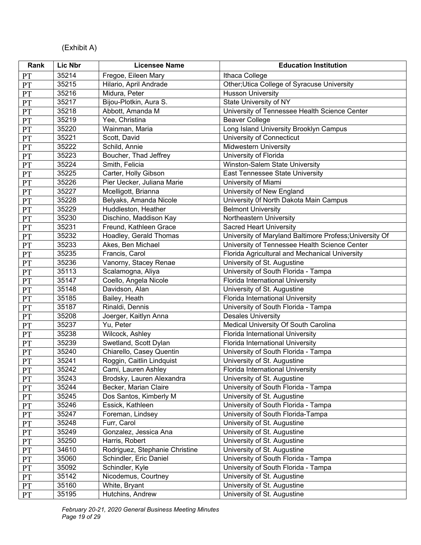# (Exhibit A)

| Rank            | Lic Nbr        | <b>Licensee Name</b>                    | <b>Education Institution</b>                               |
|-----------------|----------------|-----------------------------------------|------------------------------------------------------------|
| PT              | 35214          | Fregoe, Eileen Mary                     | Ithaca College                                             |
| PT              | 35215          | Hilario, April Andrade                  | Other; Utica College of Syracuse University                |
| PT              | 35216          | Midura, Peter                           | <b>Husson University</b>                                   |
| <b>PT</b>       | 35217          | Bijou-Plotkin, Aura S.                  | State University of NY                                     |
| PT              | 35218          | Abbott, Amanda M                        | University of Tennessee Health Science Center              |
| $\mathbf{PT}$   | 35219          | Yee, Christina                          | <b>Beaver College</b>                                      |
| PT              | 35220          | Wainman, Maria                          | Long Island University Brooklyn Campus                     |
| PT              | 35221          | Scott, David                            | University of Connecticut                                  |
| PT              | 35222          | Schild, Annie                           | <b>Midwestern University</b>                               |
| PT              | 35223          | Boucher, Thad Jeffrey                   | University of Florida                                      |
| PT              | 35224          | Smith, Felicia                          | Winston-Salem State University                             |
| <b>PT</b>       | 35225          | Carter, Holly Gibson                    | <b>East Tennessee State University</b>                     |
| PT              | 35226          | Pier Uecker, Juliana Marie              | University of Miami                                        |
| PT              | 35227          | Mcelligott, Brianna                     | University of New England                                  |
| PT              | 35228          | Belyaks, Amanda Nicole                  | University Of North Dakota Main Campus                     |
| <b>PT</b>       | 35229          | Huddleston, Heather                     | <b>Belmont University</b>                                  |
| PT              | 35230          | Dischino, Maddison Kay                  | Northeastern University                                    |
| <b>PT</b>       | 35231          | Freund, Kathleen Grace                  | <b>Sacred Heart University</b>                             |
| PT              | 35232          | Hoadley, Gerald Thomas                  | University of Maryland Baltimore Profess; University Of    |
| PT              | 35233          | Akes, Ben Michael                       | University of Tennessee Health Science Center              |
| PT              | 35235          | Francis, Carol                          | Florida Agricultural and Mechanical University             |
| PT              | 35236          | Vanorny, Stacey Renae                   | University of St. Augustine                                |
| PT              | 35113          | Scalamogna, Aliya                       | University of South Florida - Tampa                        |
| <b>PT</b>       | 35147          | Coello, Angela Nicole                   | Florida International University                           |
| PT              | 35148          | Davidson, Alan                          | University of St. Augustine                                |
| PT              | 35185          | Bailey, Heath                           | Florida International University                           |
| PT              | 35187          | Rinaldi, Dennis                         | University of South Florida - Tampa                        |
| PT              | 35208          | Joerger, Kaitlyn Anna                   | <b>Desales University</b>                                  |
| PT              | 35237          | Yu, Peter                               | Medical University Of South Carolina                       |
| PT              | 35238          | Wilcock, Ashley                         | Florida International University                           |
| <b>PT</b>       | 35239          | Swetland, Scott Dylan                   | Florida International University                           |
| <b>PT</b>       | 35240          | Chiarello, Casey Quentin                | University of South Florida - Tampa                        |
| PT              | 35241          | Roggin, Caitlin Lindquist               | University of St. Augustine                                |
| PT              | 35242          | Cami, Lauren Ashley                     | Florida International University                           |
| PT              | 35243          | Brodsky, Lauren Alexandra               | University of St. Augustine                                |
| <b>PT</b>       | 35244          | Becker, Marian Claire                   | University of South Florida - Tampa                        |
| PT              | 35245          | Dos Santos, Kimberly M                  | University of St. Augustine                                |
| PT              | 35246          | Essick, Kathleen                        | University of South Florida - Tampa                        |
| PT              | 35247          | Foreman, Lindsey                        | University of South Florida-Tampa                          |
| PT              | 35248          | Furr, Carol                             | University of St. Augustine                                |
| PT              | 35249<br>35250 | Gonzalez, Jessica Ana<br>Harris, Robert | University of St. Augustine<br>University of St. Augustine |
| <b>PT</b>       | 34610          | Rodriguez, Stephanie Christine          | University of St. Augustine                                |
| PT              | 35060          | Schindler, Eric Daniel                  | University of South Florida - Tampa                        |
| PT              | 35092          | Schindler, Kyle                         | University of South Florida - Tampa                        |
| <b>PT</b><br>PT | 35142          | Nicodemus, Courtney                     | University of St. Augustine                                |
|                 | 35160          | White, Bryant                           | University of St. Augustine                                |
| PT              | 35195          | Hutchins, Andrew                        | University of St. Augustine                                |
| <b>PT</b>       |                |                                         |                                                            |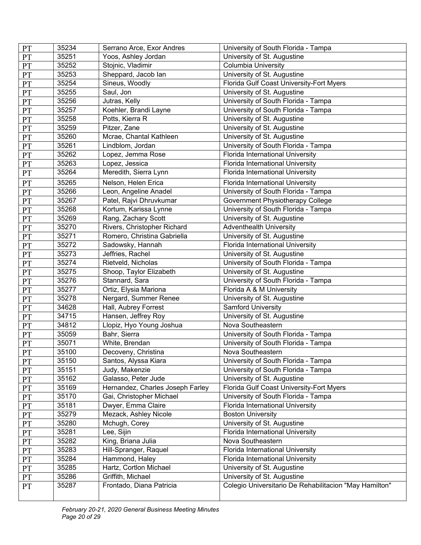| PT            | 35234 | Serrano Arce, Exor Andres        | University of South Florida - Tampa                    |
|---------------|-------|----------------------------------|--------------------------------------------------------|
| PT            | 35251 | Yoos, Ashley Jordan              | University of St. Augustine                            |
| PT            | 35252 | Stojnic, Vladimir                | Columbia University                                    |
| PT            | 35253 | Sheppard, Jacob lan              | University of St. Augustine                            |
| PT            | 35254 | Sineus, Woodly                   | Florida Gulf Coast University-Fort Myers               |
| PT            | 35255 | Saul, Jon                        | University of St. Augustine                            |
| PT            | 35256 | Jutras, Kelly                    | University of South Florida - Tampa                    |
| PT            | 35257 | Koehler, Brandi Layne            | University of South Florida - Tampa                    |
| PT            | 35258 | Potts, Kierra R                  | University of St. Augustine                            |
| PT            | 35259 | Pitzer, Zane                     | University of St. Augustine                            |
| PT            | 35260 | Mcrae, Chantal Kathleen          | University of St. Augustine                            |
| PT            | 35261 | Lindblom, Jordan                 | University of South Florida - Tampa                    |
| PT            | 35262 | Lopez, Jemma Rose                | Florida International University                       |
| PT            | 35263 | Lopez, Jessica                   | Florida International University                       |
| PT            | 35264 | Meredith, Sierra Lynn            | Florida International University                       |
| PT            | 35265 | Nelson, Helen Erica              | Florida International University                       |
| PT            | 35266 | Leon, Angeline Anadel            | University of South Florida - Tampa                    |
| PT            | 35267 | Patel, Rajvi Dhruvkumar          | Government Physiotherapy College                       |
| PT            | 35268 | Kortum, Karissa Lynne            | University of South Florida - Tampa                    |
| <b>PT</b>     | 35269 | Rang, Zachary Scott              | University of St. Augustine                            |
| PT            | 35270 | Rivers, Christopher Richard      | <b>Adventhealth University</b>                         |
| PT            | 35271 | Romero, Christina Gabriella      | University of St. Augustine                            |
| PT            | 35272 | Sadowsky, Hannah                 | Florida International University                       |
| PT            | 35273 | Jeffries, Rachel                 | University of St. Augustine                            |
| PT            | 35274 | Rietveld, Nicholas               | University of South Florida - Tampa                    |
| $\mathbf{PT}$ | 35275 | Shoop, Taylor Elizabeth          | University of St. Augustine                            |
| PT            | 35276 | Stannard, Sara                   | University of South Florida - Tampa                    |
| PT            | 35277 | Ortiz, Elysia Mariona            | Florida A & M University                               |
| PT            | 35278 | Nergard, Summer Renee            | University of St. Augustine                            |
| PT            | 34628 | Hall, Aubrey Forrest             | <b>Samford University</b>                              |
| PT            | 34715 | Hansen, Jeffrey Roy              | University of St. Augustine                            |
| <b>PT</b>     | 34812 | Llopiz, Hyo Young Joshua         | Nova Southeastern                                      |
| PT            | 35059 | Bahr, Sierra                     | University of South Florida - Tampa                    |
| PT            | 35071 | White, Brendan                   | University of South Florida - Tampa                    |
| PT            | 35100 | Decoveny, Christina              | Nova Southeastern                                      |
| <b>PT</b>     | 35150 | Santos, Alyssa Kiara             | University of South Florida - Tampa                    |
| PT            | 35151 | Judy, Makenzie                   | University of South Florida - Tampa                    |
| <b>PT</b>     | 35162 | Galasso, Peter Jude              | University of St. Augustine                            |
| <b>PT</b>     | 35169 | Hernandez, Charles Joseph Farley | Florida Gulf Coast University-Fort Myers               |
| PT            | 35170 | Gai, Christopher Michael         | University of South Florida - Tampa                    |
| <b>PT</b>     | 35181 | Dwyer, Emma Claire               | Florida International University                       |
| PT            | 35279 | Mezack, Ashley Nicole            | <b>Boston University</b>                               |
| PT            | 35280 | Mchugh, Corey                    | University of St. Augustine                            |
| <b>PT</b>     | 35281 | Lee, Sijin                       | Florida International University                       |
| PT            | 35282 | King, Briana Julia               | Nova Southeastern                                      |
| PT            | 35283 | Hill-Spranger, Raquel            | Florida International University                       |
| PT            | 35284 | Hammond, Haley                   | Florida International University                       |
| PT            | 35285 | Hartz, Cortlon Michael           | University of St. Augustine                            |
| PT            | 35286 | Griffith, Michael                | University of St. Augustine                            |
| <b>PT</b>     | 35287 | Frontado, Diana Patricia         | Colegio Universitario De Rehabilitacion "May Hamilton" |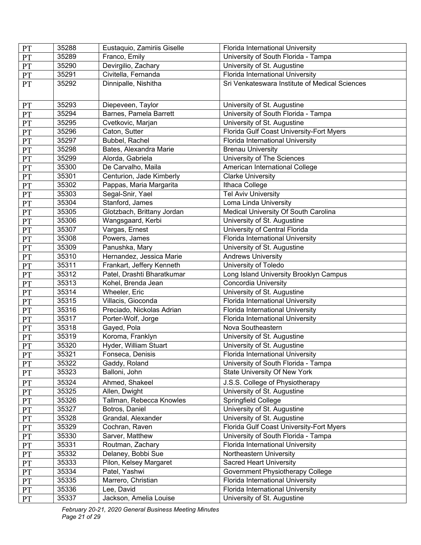| <b>PT</b>     | 35288 | Eustaquio, Zamiriis Giselle | Florida International University               |
|---------------|-------|-----------------------------|------------------------------------------------|
| <b>PT</b>     | 35289 | Franco, Emily               | University of South Florida - Tampa            |
| PT            | 35290 | Devirgilio, Zachary         | University of St. Augustine                    |
| $\mathbf{PT}$ | 35291 | Civitella, Fernanda         | Florida International University               |
| PT            | 35292 | Dinnipalle, Nishitha        | Sri Venkateswara Institute of Medical Sciences |
| PT            | 35293 | Diepeveen, Taylor           | University of St. Augustine                    |
| PT            | 35294 | Barnes, Pamela Barrett      | University of South Florida - Tampa            |
| PT            | 35295 | Cvetkovic, Marjan           | University of St. Augustine                    |
| <b>PT</b>     | 35296 | Caton, Sutter               | Florida Gulf Coast University-Fort Myers       |
| $\mathbf{PT}$ | 35297 | Bubbel, Rachel              | Florida International University               |
| PT            | 35298 | Bates, Alexandra Marie      | <b>Brenau University</b>                       |
| PT            | 35299 | Alorda, Gabriela            | University of The Sciences                     |
| PT            | 35300 | De Carvalho, Maila          | American International College                 |
| PT            | 35301 | Centurion, Jade Kimberly    | Clarke University                              |
| PT            | 35302 | Pappas, Maria Margarita     | Ithaca College                                 |
| PT            | 35303 | Segal-Snir, Yael            | <b>Tel Aviv University</b>                     |
| PT            | 35304 | Stanford, James             | Loma Linda University                          |
| PT            | 35305 | Glotzbach, Brittany Jordan  | Medical University Of South Carolina           |
| PT            | 35306 | Wangsgaard, Kerbi           | University of St. Augustine                    |
| PT            | 35307 | Vargas, Ernest              | University of Central Florida                  |
| PT            | 35308 | Powers, James               | Florida International University               |
| $\mathbf{PT}$ | 35309 | Panushka, Mary              | University of St. Augustine                    |
| PT            | 35310 | Hernandez, Jessica Marie    | <b>Andrews University</b>                      |
| PT            | 35311 | Frankart, Jeffery Kenneth   | University of Toledo                           |
| PT            | 35312 | Patel, Drashti Bharatkumar  | Long Island University Brooklyn Campus         |
| PT            | 35313 | Kohel, Brenda Jean          | <b>Concordia University</b>                    |
| PT            | 35314 | Wheeler, Eric               | University of St. Augustine                    |
| <b>PT</b>     | 35315 | Villacis, Gioconda          | Florida International University               |
| PT            | 35316 | Preciado, Nickolas Adrian   | Florida International University               |
| PT            | 35317 | Porter-Wolf, Jorge          | Florida International University               |
| PT            | 35318 | Gayed, Pola                 | Nova Southeastern                              |
| PT            | 35319 | Koroma, Franklyn            | University of St. Augustine                    |
| $\mathbf{PT}$ | 35320 | Hyder, William Stuart       | University of St. Augustine                    |
| <b>PT</b>     | 35321 | Fonseca, Denisis            | <b>Florida International University</b>        |
| PT            | 35322 | Gaddy, Roland               | University of South Florida - Tampa            |
| PT            | 35323 | Balloni, John               | <b>State University Of New York</b>            |
| PT            | 35324 | Ahmed, Shakeel              | J.S.S. College of Physiotherapy                |
| PT            | 35325 | Allen, Dwight               | University of St. Augustine                    |
| PT            | 35326 | Tallman, Rebecca Knowles    | Springfield College                            |
| $\mathbf{PT}$ | 35327 | Botros, Daniel              | University of St. Augustine                    |
| PT            | 35328 | Grandal, Alexander          | University of St. Augustine                    |
| PT            | 35329 | Cochran, Raven              | Florida Gulf Coast University-Fort Myers       |
| PT            | 35330 | Sarver, Matthew             | University of South Florida - Tampa            |
| PT            | 35331 | Routman, Zachary            | Florida International University               |
| PT            | 35332 | Delaney, Bobbi Sue          | Northeastern University                        |
| $\mathbf{PT}$ | 35333 | Pilon, Kelsey Margaret      | <b>Sacred Heart University</b>                 |
| PT            | 35334 | Patel, Yashwi               | Government Physiotherapy College               |
| <b>PT</b>     | 35335 | Marrero, Christian          | Florida International University               |
| PT            | 35336 | Lee, David                  | Florida International University               |
| PT            | 35337 | Jackson, Amelia Louise      | University of St. Augustine                    |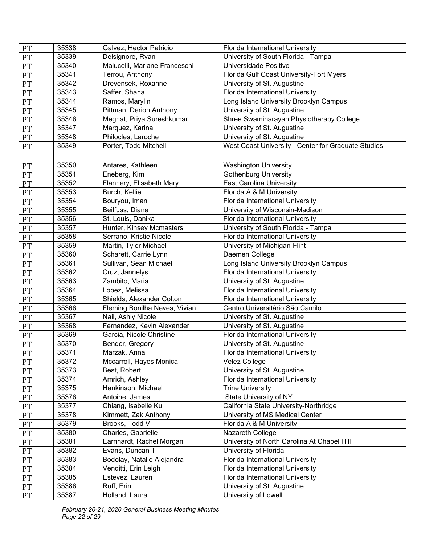| <b>PT</b> | 35338 | Galvez, Hector Patricio       | Florida International University                    |
|-----------|-------|-------------------------------|-----------------------------------------------------|
| PT        | 35339 | Delsignore, Ryan              | University of South Florida - Tampa                 |
| PT        | 35340 | Malucelli, Mariane Franceschi | Universidade Positivo                               |
| <b>PT</b> | 35341 | Terrou, Anthony               | Florida Gulf Coast University-Fort Myers            |
| PT        | 35342 | Drevensek, Roxanne            | University of St. Augustine                         |
| PT        | 35343 | Saffer, Shana                 | Florida International University                    |
| PT        | 35344 | Ramos, Marylin                | Long Island University Brooklyn Campus              |
| PT        | 35345 | Pittman, Derion Anthony       | University of St. Augustine                         |
| <b>PT</b> | 35346 | Meghat, Priya Sureshkumar     | Shree Swaminarayan Physiotherapy College            |
| PT        | 35347 | Marquez, Karina               | University of St. Augustine                         |
| PT        | 35348 | Philocles, Laroche            | University of St. Augustine                         |
| <b>PT</b> | 35349 | Porter, Todd Mitchell         | West Coast University - Center for Graduate Studies |
|           |       |                               |                                                     |
| <b>PT</b> | 35350 | Antares, Kathleen             | <b>Washington University</b>                        |
| <b>PT</b> | 35351 | Eneberg, Kim                  | <b>Gothenburg University</b>                        |
| PT        | 35352 | Flannery, Elisabeth Mary      | <b>East Carolina University</b>                     |
| PT        | 35353 | Burch, Kellie                 | Florida A & M University                            |
| <b>PT</b> | 35354 | Bouryou, Iman                 | Florida International University                    |
| PT        | 35355 | Beilfuss, Diana               | University of Wisconsin-Madison                     |
| PT        | 35356 | St. Louis, Danika             | Florida International University                    |
| PT        | 35357 | Hunter, Kinsey Mcmasters      | University of South Florida - Tampa                 |
| PT        | 35358 | Serrano, Kristie Nicole       | Florida International University                    |
| PT        | 35359 | Martin, Tyler Michael         | University of Michigan-Flint                        |
| PT        | 35360 | Scharett, Carrie Lynn         | Daemen College                                      |
| <b>PT</b> | 35361 | Sullivan, Sean Michael        | Long Island University Brooklyn Campus              |
| PT        | 35362 | Cruz, Jannelys                | Florida International University                    |
| PT        | 35363 | Zambito, Maria                | University of St. Augustine                         |
| PT        | 35364 | Lopez, Melissa                | Florida International University                    |
| PT        | 35365 | Shields, Alexander Colton     | Florida International University                    |
| PT        | 35366 | Fleming Bonilha Neves, Vivian | Centro Universitário São Camilo                     |
| PT        | 35367 | Nail, Ashly Nicole            | University of St. Augustine                         |
| PT        | 35368 | Fernandez, Kevin Alexander    | University of St. Augustine                         |
| <b>PT</b> | 35369 | Garcia, Nicole Christine      | Florida International University                    |
| PT        | 35370 | Bender, Gregory               | University of St. Augustine                         |
| PT        | 35371 | Marzak, Anna                  | Florida International University                    |
| <b>PT</b> | 35372 | Mccarroll, Hayes Monica       | Velez College                                       |
| <b>PT</b> | 35373 | Best, Robert                  | University of St. Augustine                         |
| PT        | 35374 | Amrich, Ashley                | Florida International University                    |
| <b>PT</b> | 35375 | Hankinson, Michael            | <b>Trine University</b>                             |
| PT        | 35376 | Antoine, James                | State University of NY                              |
| PT        | 35377 | Chiang, Isabelle Ku           | California State University-Northridge              |
| PT        | 35378 | Kimmett, Zak Anthony          | University of MS Medical Center                     |
| <b>PT</b> | 35379 | Brooks, Todd V                | Florida A & M University                            |
| PT        | 35380 | Charles, Gabrielle            | Nazareth College                                    |
| PT        | 35381 | Earnhardt, Rachel Morgan      | University of North Carolina At Chapel Hill         |
| PT        | 35382 | Evans, Duncan T               | University of Florida                               |
| PT        | 35383 | Bodolay, Natalie Alejandra    | Florida International University                    |
| PT        | 35384 | Venditti, Erin Leigh          | Florida International University                    |
| PT        | 35385 | Estevez, Lauren               | Florida International University                    |
| PT        | 35386 | Ruff, Erin                    | University of St. Augustine                         |
| PT        | 35387 | Holland, Laura                | University of Lowell                                |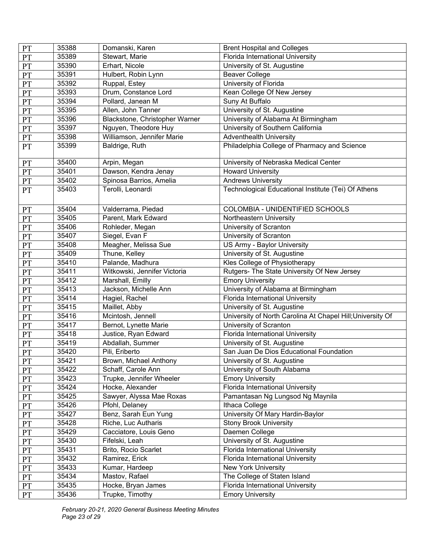| <b>PT</b>     | 35388 | Domanski, Karen                | <b>Brent Hospital and Colleges</b>                         |
|---------------|-------|--------------------------------|------------------------------------------------------------|
| PT            | 35389 | Stewart, Marie                 | Florida International University                           |
| PT            | 35390 | Erhart, Nicole                 | University of St. Augustine                                |
| PT            | 35391 | Hulbert, Robin Lynn            | <b>Beaver College</b>                                      |
| PT            | 35392 | Ruppal, Estey                  | University of Florida                                      |
| PT            | 35393 | Drum, Constance Lord           | Kean College Of New Jersey                                 |
| PT            | 35394 | Pollard, Janean M              | Suny At Buffalo                                            |
| PT            | 35395 | Allen, John Tanner             | University of St. Augustine                                |
| PT            | 35396 | Blackstone, Christopher Warner | University of Alabama At Birmingham                        |
| $\mathbf{PT}$ | 35397 | Nguyen, Theodore Huy           | University of Southern California                          |
| PT            | 35398 | Williamson, Jennifer Marie     | <b>Adventhealth University</b>                             |
| <b>PT</b>     | 35399 | Baldrige, Ruth                 | Philadelphia College of Pharmacy and Science               |
| $\mathbf{PT}$ | 35400 | Arpin, Megan                   | University of Nebraska Medical Center                      |
| PT            | 35401 | Dawson, Kendra Jenay           | <b>Howard University</b>                                   |
| PT            | 35402 | Spinosa Barrios, Amelia        | <b>Andrews University</b>                                  |
| PT            | 35403 | Terolli, Leonardi              | Technological Educational Institute (Tei) Of Athens        |
|               |       |                                |                                                            |
| PT            | 35404 | Valderrama, Piedad             | COLOMBIA - UNIDENTIFIED SCHOOLS                            |
| <b>PT</b>     | 35405 | Parent, Mark Edward            | Northeastern University                                    |
| $\mathbf{PT}$ | 35406 | Rohleder, Megan                | University of Scranton                                     |
| PT            | 35407 | Siegel, Evan F                 | University of Scranton                                     |
| PT            | 35408 | Meagher, Melissa Sue           | US Army - Baylor University                                |
| PT            | 35409 | Thune, Kelley                  | University of St. Augustine                                |
| PT            | 35410 | Palande, Madhura               | Kles College of Physiotherapy                              |
| PT            | 35411 | Witkowski, Jennifer Victoria   | Rutgers- The State University Of New Jersey                |
| PT            | 35412 | Marshall, Emilly               | <b>Emory University</b>                                    |
| PT            | 35413 | Jackson, Michelle Ann          | University of Alabama at Birmingham                        |
| PT            | 35414 | Hagiel, Rachel                 | Florida International University                           |
| PT            | 35415 | Maillet, Abby                  | University of St. Augustine                                |
| PT            | 35416 | Mcintosh, Jennell              | University of North Carolina At Chapel Hill; University Of |
| PT            | 35417 | Bernot, Lynette Marie          | University of Scranton                                     |
| PT            | 35418 | Justice, Ryan Edward           | Florida International University                           |
| PT            | 35419 | Abdallah, Summer               | University of St. Augustine                                |
| PT            | 35420 | Pili, Eriberto                 | San Juan De Dios Educational Foundation                    |
| <b>PT</b>     | 35421 | Brown, Michael Anthony         | University of St. Augustine                                |
| PT            | 35422 | Schaff, Carole Ann             | University of South Alabama                                |
| PT            | 35423 | Trupke, Jennifer Wheeler       | <b>Emory University</b>                                    |
| <b>PT</b>     | 35424 | Hocke, Alexander               | Florida International University                           |
| PT            | 35425 | Sawyer, Alyssa Mae Roxas       | Pamantasan Ng Lungsod Ng Maynila                           |
| PT            | 35426 | Pfohl, Delaney                 | Ithaca College                                             |
| PT            | 35427 | Benz, Sarah Eun Yung           | University Of Mary Hardin-Baylor                           |
| PT            | 35428 | Riche, Luc Autharis            | <b>Stony Brook University</b>                              |
| PT            | 35429 | Cacciatore, Louis Geno         | Daemen College                                             |
| PT            | 35430 | Fifelski, Leah                 | University of St. Augustine                                |
| PT            | 35431 | Brito, Rocio Scarlet           | Florida International University                           |
| PT            | 35432 | Ramirez, Erick                 | Florida International University                           |
| PT            | 35433 | Kumar, Hardeep                 | New York University                                        |
| PT            | 35434 | Mastov, Rafael                 | The College of Staten Island                               |
| <b>PT</b>     | 35435 | Hocke, Bryan James             | Florida International University                           |
| PT            | 35436 | Trupke, Timothy                | <b>Emory University</b>                                    |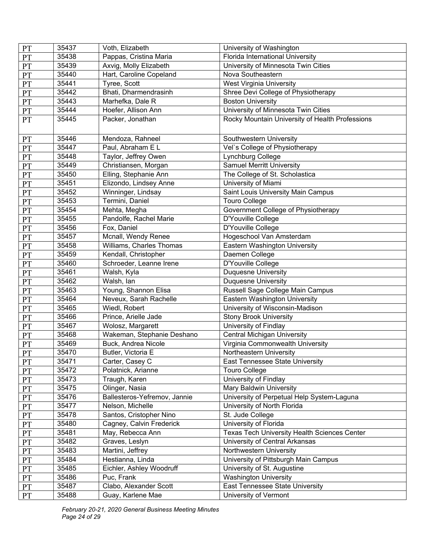| <b>PT</b>     | 35437 | Voth, Elizabeth              | University of Washington                        |
|---------------|-------|------------------------------|-------------------------------------------------|
| <b>PT</b>     | 35438 | Pappas, Cristina Maria       | Florida International University                |
| PT            | 35439 | Axvig, Molly Elizabeth       | University of Minnesota Twin Cities             |
| PT            | 35440 | Hart, Caroline Copeland      | Nova Southeastern                               |
| PT            | 35441 | Tyree, Scott                 | <b>West Virginia University</b>                 |
| PT            | 35442 | Bhati, Dharmendrasinh        | Shree Devi College of Physiotherapy             |
| <b>PT</b>     | 35443 | Marhefka, Dale R             | <b>Boston University</b>                        |
| PT            | 35444 | Hoefer, Allison Ann          | University of Minnesota Twin Cities             |
| PT            | 35445 | Packer, Jonathan             | Rocky Mountain University of Health Professions |
| PT            | 35446 | Mendoza, Rahneel             | Southwestern University                         |
| PT            | 35447 | Paul, Abraham E L            | Vel's College of Physiotherapy                  |
| PT            | 35448 | Taylor, Jeffrey Owen         | Lynchburg College                               |
| PT            | 35449 | Christiansen, Morgan         | <b>Samuel Merritt University</b>                |
| PT            | 35450 | Elling, Stephanie Ann        | The College of St. Scholastica                  |
| PT            | 35451 | Elizondo, Lindsey Anne       | University of Miami                             |
| PT            | 35452 | Winninger, Lindsay           | Saint Louis University Main Campus              |
| <b>PT</b>     | 35453 | Termini, Daniel              | <b>Touro College</b>                            |
| PT            | 35454 | Mehta, Megha                 | Government College of Physiotherapy             |
| PT            | 35455 | Pandolfe, Rachel Marie       | D'Youville College                              |
| PT            | 35456 | Fox, Daniel                  | D'Youville College                              |
| PT            | 35457 | Mcnall, Wendy Renee          | Hogeschool Van Amsterdam                        |
| PT            | 35458 | Williams, Charles Thomas     | Eastern Washington University                   |
| $\mathbf{PT}$ | 35459 | Kendall, Christopher         | Daemen College                                  |
| PT            | 35460 | Schroeder, Leanne Irene      | D'Youville College                              |
| PT            | 35461 | Walsh, Kyla                  | <b>Duquesne University</b>                      |
| PT            | 35462 | Walsh, lan                   | <b>Duquesne University</b>                      |
| PT            | 35463 | Young, Shannon Elisa         | Russell Sage College Main Campus                |
| PT            | 35464 | Neveux, Sarah Rachelle       | Eastern Washington University                   |
| PT            | 35465 | Wiedl, Robert                | University of Wisconsin-Madison                 |
| PT            | 35466 | Prince, Arielle Jade         | <b>Stony Brook University</b>                   |
| PT            | 35467 | Wolosz, Margarett            | University of Findlay                           |
| PT            | 35468 | Wakeman, Stephanie Deshano   | <b>Central Michigan University</b>              |
| PT            | 35469 | Buck, Andrea Nicole          | Virginia Commonwealth University                |
| PT            | 35470 | Butler, Victoria E           | Northeastern University                         |
| <b>PT</b>     | 35471 | Carter, Casey C              | East Tennessee State University                 |
| <b>PT</b>     | 35472 | Polatnick, Arianne           | <b>Touro College</b>                            |
| PT            | 35473 | Traugh, Karen                | University of Findlay                           |
| PT            | 35475 | Olinger, Nasia               | Mary Baldwin University                         |
| <b>PT</b>     | 35476 | Ballesteros-Yefremov, Jannie | University of Perpetual Help System-Laguna      |
| PT            | 35477 | Nelson, Michelle             | University of North Florida                     |
| $\mathbf{PT}$ | 35478 | Santos, Cristopher Nino      | St. Jude College                                |
| PT            | 35480 | Cagney, Calvin Frederick     | University of Florida                           |
| PT            | 35481 | May, Rebecca Ann             | Texas Tech University Health Sciences Center    |
| PT            | 35482 | Graves, Leslyn               | University of Central Arkansas                  |
| PT            | 35483 | Martini, Jeffrey             | Northwestern University                         |
| PT            | 35484 | Hestianna, Linda             | University of Pittsburgh Main Campus            |
| <b>PT</b>     | 35485 | Eichler, Ashley Woodruff     | University of St. Augustine                     |
| <b>PT</b>     | 35486 | Puc, Frank                   | <b>Washington University</b>                    |
| PT            | 35487 | Clabo, Alexander Scott       | East Tennessee State University                 |
| <b>PT</b>     | 35488 | Guay, Karlene Mae            | University of Vermont                           |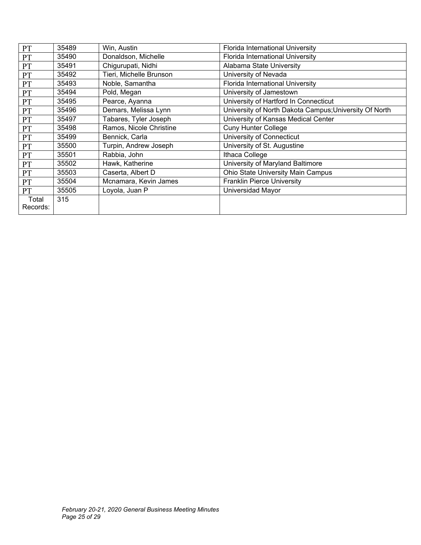| PT        | 35489 | Win, Austin             | Florida International University                       |
|-----------|-------|-------------------------|--------------------------------------------------------|
| PT        | 35490 | Donaldson, Michelle     | Florida International University                       |
| PT        | 35491 | Chigurupati, Nidhi      | Alabama State University                               |
| PT        | 35492 | Tieri, Michelle Brunson | University of Nevada                                   |
| <b>PT</b> | 35493 | Noble, Samantha         | Florida International University                       |
| PT        | 35494 | Pold, Megan             | University of Jamestown                                |
| PT        | 35495 | Pearce, Ayanna          | University of Hartford In Connecticut                  |
| PT        | 35496 | Demars, Melissa Lynn    | University of North Dakota Campus; University Of North |
| PT        | 35497 | Tabares, Tyler Joseph   | University of Kansas Medical Center                    |
| <b>PT</b> | 35498 | Ramos, Nicole Christine | <b>Cuny Hunter College</b>                             |
| PT        | 35499 | Bennick, Carla          | University of Connecticut                              |
| PT        | 35500 | Turpin, Andrew Joseph   | University of St. Augustine                            |
| PT        | 35501 | Rabbia, John            | Ithaca College                                         |
| PT        | 35502 | Hawk, Katherine         | University of Maryland Baltimore                       |
| PT        | 35503 | Caserta, Albert D       | Ohio State University Main Campus                      |
| PT        | 35504 | Mcnamara, Kevin James   | <b>Franklin Pierce University</b>                      |
| PT        | 35505 | Loyola, Juan P          | Universidad Mayor                                      |
| Total     | 315   |                         |                                                        |
| Records:  |       |                         |                                                        |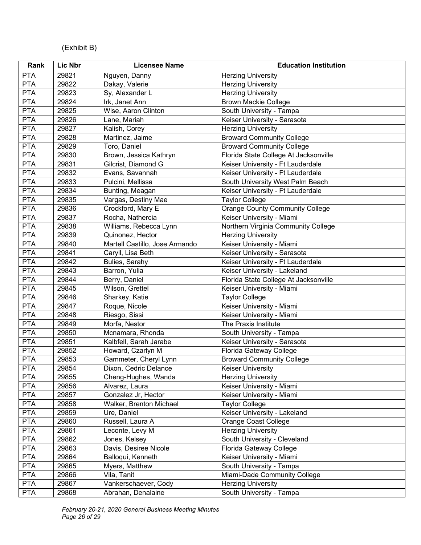# (Exhibit B)

| Rank       | Lic Nbr | <b>Licensee Name</b>           | <b>Education Institution</b>           |
|------------|---------|--------------------------------|----------------------------------------|
| <b>PTA</b> | 29821   | Nguyen, Danny                  | <b>Herzing University</b>              |
| <b>PTA</b> | 29822   | Dakay, Valerie                 | <b>Herzing University</b>              |
| <b>PTA</b> | 29823   | Sy, Alexander L                | <b>Herzing University</b>              |
| <b>PTA</b> | 29824   | Irk, Janet Ann                 | <b>Brown Mackie College</b>            |
| <b>PTA</b> | 29825   | Wise, Aaron Clinton            | South University - Tampa               |
| <b>PTA</b> | 29826   | Lane, Mariah                   | Keiser University - Sarasota           |
| <b>PTA</b> | 29827   | Kalish, Corey                  | <b>Herzing University</b>              |
| <b>PTA</b> | 29828   | Martinez, Jaime                | <b>Broward Community College</b>       |
| <b>PTA</b> | 29829   | Toro, Daniel                   | <b>Broward Community College</b>       |
| <b>PTA</b> | 29830   | Brown, Jessica Kathryn         | Florida State College At Jacksonville  |
| <b>PTA</b> | 29831   | Gilcrist, Diamond G            | Keiser University - Ft Lauderdale      |
| PTA        | 29832   | Evans, Savannah                | Keiser University - Ft Lauderdale      |
| <b>PTA</b> | 29833   | Pulcini, Mellissa              | South University West Palm Beach       |
| <b>PTA</b> | 29834   | Bunting, Meagan                | Keiser University - Ft Lauderdale      |
| <b>PTA</b> | 29835   | Vargas, Destiny Mae            | <b>Taylor College</b>                  |
| <b>PTA</b> | 29836   | Crockford, Mary E              | <b>Orange County Community College</b> |
| <b>PTA</b> | 29837   | Rocha, Nathercia               | Keiser University - Miami              |
| <b>PTA</b> | 29838   | Williams, Rebecca Lynn         | Northern Virginia Community College    |
| <b>PTA</b> | 29839   | Quinonez, Hector               | <b>Herzing University</b>              |
| <b>PTA</b> | 29840   | Martell Castillo, Jose Armando | Keiser University - Miami              |
| <b>PTA</b> | 29841   | Caryll, Lisa Beth              | Keiser University - Sarasota           |
| <b>PTA</b> | 29842   | Bulies, Sarahy                 | Keiser University - Ft Lauderdale      |
| <b>PTA</b> | 29843   | Barron, Yulia                  | Keiser University - Lakeland           |
| <b>PTA</b> | 29844   | Berry, Daniel                  | Florida State College At Jacksonville  |
| <b>PTA</b> | 29845   | Wilson, Grettel                | Keiser University - Miami              |
| <b>PTA</b> | 29846   | Sharkey, Katie                 | <b>Taylor College</b>                  |
| <b>PTA</b> | 29847   | Roque, Nicole                  | Keiser University - Miami              |
| <b>PTA</b> | 29848   | Riesgo, Sissi                  | Keiser University - Miami              |
| <b>PTA</b> | 29849   | Morfa, Nestor                  | The Praxis Institute                   |
| <b>PTA</b> | 29850   | Mcnamara, Rhonda               | South University - Tampa               |
| <b>PTA</b> | 29851   | Kalbfell, Sarah Jarabe         | Keiser University - Sarasota           |
| <b>PTA</b> | 29852   | Howard, Czarlyn M              | Florida Gateway College                |
| <b>PTA</b> | 29853   | Gammeter, Cheryl Lynn          | <b>Broward Community College</b>       |
| <b>PTA</b> | 29854   | Dixon, Cedric Delance          | Keiser University                      |
| <b>PTA</b> | 29855   | Cheng-Hughes, Wanda            | <b>Herzing University</b>              |
| <b>PTA</b> | 29856   | Alvarez, Laura                 | Keiser University - Miami              |
| <b>PTA</b> | 29857   | Gonzalez Jr, Hector            | Keiser University - Miami              |
| <b>PTA</b> | 29858   | Walker, Brenton Michael        | <b>Taylor College</b>                  |
| <b>PTA</b> | 29859   | Ure, Daniel                    | Keiser University - Lakeland           |
| <b>PTA</b> | 29860   | Russell, Laura A               | <b>Orange Coast College</b>            |
| <b>PTA</b> | 29861   | Leconte, Levy M                | <b>Herzing University</b>              |
| <b>PTA</b> | 29862   | Jones, Kelsey                  | South University - Cleveland           |
| <b>PTA</b> | 29863   | Davis, Desiree Nicole          | Florida Gateway College                |
| <b>PTA</b> | 29864   | Balloqui, Kenneth              | Keiser University - Miami              |
| <b>PTA</b> | 29865   | Myers, Matthew                 | South University - Tampa               |
| <b>PTA</b> | 29866   | Vila, Tanit                    | Miami-Dade Community College           |
| <b>PTA</b> | 29867   | Vankerschaever, Cody           | <b>Herzing University</b>              |
| <b>PTA</b> | 29868   | Abrahan, Denalaine             | South University - Tampa               |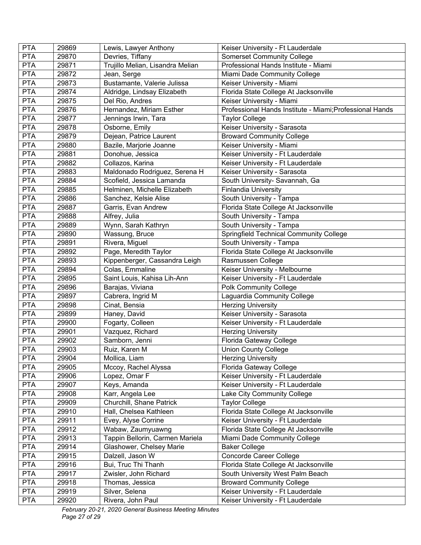| <b>PTA</b> | 29869 | Lewis, Lawyer Anthony            | Keiser University - Ft Lauderdale                        |
|------------|-------|----------------------------------|----------------------------------------------------------|
| <b>PTA</b> | 29870 | Devries, Tiffany                 | <b>Somerset Community College</b>                        |
| <b>PTA</b> | 29871 | Trujillo Melian, Lisandra Melian | Professional Hands Institute - Miami                     |
| <b>PTA</b> | 29872 | Jean, Serge                      | Miami Dade Community College                             |
| <b>PTA</b> | 29873 | Bustamante, Valerie Julissa      | Keiser University - Miami                                |
| <b>PTA</b> | 29874 | Aldridge, Lindsay Elizabeth      | Florida State College At Jacksonville                    |
| <b>PTA</b> | 29875 | Del Rio, Andres                  | Keiser University - Miami                                |
| <b>PTA</b> | 29876 | Hernandez, Miriam Esther         | Professional Hands Institute - Miami; Professional Hands |
| <b>PTA</b> | 29877 | Jennings Irwin, Tara             | <b>Taylor College</b>                                    |
| <b>PTA</b> | 29878 | Osborne, Emily                   | Keiser University - Sarasota                             |
| <b>PTA</b> | 29879 | Dejean, Patrice Laurent          | <b>Broward Community College</b>                         |
| <b>PTA</b> | 29880 | Bazile, Marjorie Joanne          | Keiser University - Miami                                |
| <b>PTA</b> | 29881 | Donohue, Jessica                 | Keiser University - Ft Lauderdale                        |
| <b>PTA</b> | 29882 | Collazos, Karina                 | Keiser University - Ft Lauderdale                        |
| <b>PTA</b> | 29883 | Maldonado Rodriguez, Serena H    | Keiser University - Sarasota                             |
| <b>PTA</b> | 29884 | Scofield, Jessica Lamanda        | South University- Savannah, Ga                           |
| <b>PTA</b> | 29885 | Helminen, Michelle Elizabeth     | <b>Finlandia University</b>                              |
| <b>PTA</b> | 29886 | Sanchez, Kelsie Alise            | South University - Tampa                                 |
| <b>PTA</b> | 29887 | Garris, Evan Andrew              | Florida State College At Jacksonville                    |
| <b>PTA</b> | 29888 | Alfrey, Julia                    | South University - Tampa                                 |
| <b>PTA</b> | 29889 | Wynn, Sarah Kathryn              | South University - Tampa                                 |
| <b>PTA</b> | 29890 | Wassung, Bruce                   | <b>Springfield Technical Community College</b>           |
| <b>PTA</b> | 29891 | Rivera, Miguel                   | South University - Tampa                                 |
| <b>PTA</b> | 29892 | Page, Meredith Taylor            | Florida State College At Jacksonville                    |
| <b>PTA</b> | 29893 | Kippenberger, Cassandra Leigh    | Rasmussen College                                        |
| <b>PTA</b> | 29894 | Colas, Emmaline                  | Keiser University - Melbourne                            |
| <b>PTA</b> | 29895 | Saint Louis, Kahisa Lih-Ann      | Keiser University - Ft Lauderdale                        |
| <b>PTA</b> | 29896 | Barajas, Viviana                 | <b>Polk Community College</b>                            |
| <b>PTA</b> | 29897 | Cabrera, Ingrid M                | Laguardia Community College                              |
| PTA        | 29898 | Cinat, Bensia                    | <b>Herzing University</b>                                |
| <b>PTA</b> | 29899 | Haney, David                     | Keiser University - Sarasota                             |
| <b>PTA</b> | 29900 | Fogarty, Colleen                 | Keiser University - Ft Lauderdale                        |
| <b>PTA</b> | 29901 | Vazquez, Richard                 | <b>Herzing University</b>                                |
| <b>PTA</b> | 29902 | Samborn, Jenni                   | Florida Gateway College                                  |
| <b>PTA</b> | 29903 | Ruiz, Karen M                    | <b>Union County College</b>                              |
| <b>PTA</b> | 29904 | Mollica, Liam                    | <b>Herzing University</b>                                |
| <b>PTA</b> | 29905 | Mccoy, Rachel Alyssa             | Florida Gateway College                                  |
| <b>PTA</b> | 29906 | Lopez, Omar F                    | Keiser University - Ft Lauderdale                        |
| <b>PTA</b> | 29907 | Keys, Amanda                     | Keiser University - Ft Lauderdale                        |
| <b>PTA</b> | 29908 | Karr, Angela Lee                 | Lake City Community College                              |
| <b>PTA</b> | 29909 | Churchill, Shane Patrick         | <b>Taylor College</b>                                    |
| <b>PTA</b> | 29910 | Hall, Chelsea Kathleen           | Florida State College At Jacksonville                    |
| <b>PTA</b> | 29911 | Evey, Alyse Corrine              | Keiser University - Ft Lauderdale                        |
| <b>PTA</b> | 29912 | Wabaw, Zaumyuawng                | Florida State College At Jacksonville                    |
| <b>PTA</b> | 29913 | Tappin Bellorin, Carmen Mariela  | Miami Dade Community College                             |
| <b>PTA</b> | 29914 | Glashower, Chelsey Marie         | <b>Baker College</b>                                     |
| <b>PTA</b> | 29915 | Dalzell, Jason W                 | <b>Concorde Career College</b>                           |
| <b>PTA</b> | 29916 | Bui, Truc Thi Thanh              | Florida State College At Jacksonville                    |
| <b>PTA</b> | 29917 | Zwisler, John Richard            | South University West Palm Beach                         |
| <b>PTA</b> | 29918 | Thomas, Jessica                  | <b>Broward Community College</b>                         |
| <b>PTA</b> | 29919 | Silver, Selena                   | Keiser University - Ft Lauderdale                        |
| <b>PTA</b> | 29920 | Rivera, John Paul                | Keiser University - Ft Lauderdale                        |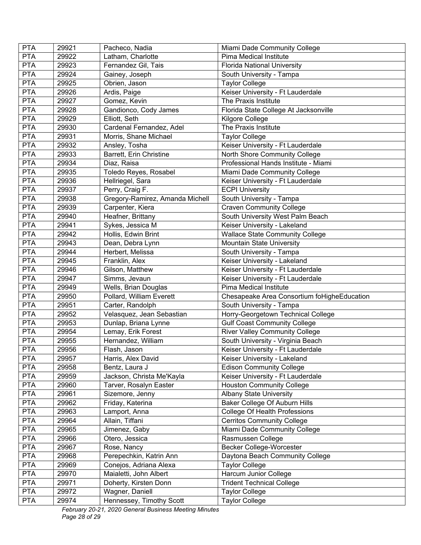| <b>PTA</b> | 29921 | Pacheco, Nadia                  | Miami Dade Community College                |
|------------|-------|---------------------------------|---------------------------------------------|
| <b>PTA</b> | 29922 | Latham, Charlotte               | Pima Medical Institute                      |
| <b>PTA</b> | 29923 | Fernandez Gil, Tais             | <b>Florida National University</b>          |
| <b>PTA</b> | 29924 | Gainey, Joseph                  | South University - Tampa                    |
| <b>PTA</b> | 29925 | Obrien, Jason                   | <b>Taylor College</b>                       |
| <b>PTA</b> | 29926 | Ardis, Paige                    | Keiser University - Ft Lauderdale           |
| <b>PTA</b> | 29927 | Gomez, Kevin                    | The Praxis Institute                        |
| <b>PTA</b> | 29928 | Gandionco, Cody James           | Florida State College At Jacksonville       |
| <b>PTA</b> | 29929 | Elliott, Seth                   | Kilgore College                             |
| <b>PTA</b> | 29930 | Cardenal Fernandez, Adel        | The Praxis Institute                        |
| <b>PTA</b> | 29931 | Morris, Shane Michael           | <b>Taylor College</b>                       |
| <b>PTA</b> | 29932 | Ansley, Tosha                   | Keiser University - Ft Lauderdale           |
| <b>PTA</b> | 29933 | Barrett, Erin Christine         | North Shore Community College               |
| <b>PTA</b> | 29934 | Diaz, Raisa                     | Professional Hands Institute - Miami        |
| <b>PTA</b> | 29935 | Toledo Reyes, Rosabel           | Miami Dade Community College                |
| <b>PTA</b> | 29936 | Hellriegel, Sara                | Keiser University - Ft Lauderdale           |
| <b>PTA</b> | 29937 | Perry, Craig F.                 | <b>ECPI University</b>                      |
| <b>PTA</b> | 29938 | Gregory-Ramirez, Amanda Michell | South University - Tampa                    |
| <b>PTA</b> | 29939 | Carpenter, Kiera                | <b>Craven Community College</b>             |
| <b>PTA</b> | 29940 | Heafner, Brittany               | South University West Palm Beach            |
| <b>PTA</b> | 29941 | Sykes, Jessica M                | Keiser University - Lakeland                |
| <b>PTA</b> | 29942 | Hollis, Edwin Brint             | <b>Wallace State Community College</b>      |
| <b>PTA</b> | 29943 | Dean, Debra Lynn                | Mountain State University                   |
| <b>PTA</b> | 29944 | Herbert, Melissa                | South University - Tampa                    |
| <b>PTA</b> | 29945 | Franklin, Alex                  | Keiser University - Lakeland                |
| <b>PTA</b> | 29946 | Gilson, Matthew                 | Keiser University - Ft Lauderdale           |
| <b>PTA</b> | 29947 | Simms, Jevaun                   | Keiser University - Ft Lauderdale           |
| <b>PTA</b> | 29949 | Wells, Brian Douglas            | Pima Medical Institute                      |
| <b>PTA</b> | 29950 | Pollard, William Everett        | Chesapeake Area Consortium foHigheEducation |
| <b>PTA</b> | 29951 | Carter, Randolph                | South University - Tampa                    |
| <b>PTA</b> | 29952 | Velasquez, Jean Sebastian       | Horry-Georgetown Technical College          |
| <b>PTA</b> | 29953 | Dunlap, Briana Lynne            | Gulf Coast Community College                |
| <b>PTA</b> | 29954 | Lemay, Erik Forest              | <b>River Valley Community College</b>       |
| <b>PTA</b> | 29955 | Hernandez, William              | South University - Virginia Beach           |
| <b>PTA</b> | 29956 | Flash, Jason                    | Keiser University - Ft Lauderdale           |
| <b>PTA</b> | 29957 | Harris, Alex David              | Keiser University - Lakeland                |
| <b>PTA</b> | 29958 | Bentz, Laura J                  | <b>Edison Community College</b>             |
| <b>PTA</b> | 29959 | Jackson, Christa Me'Kayla       | Keiser University - Ft Lauderdale           |
| <b>PTA</b> | 29960 | Tarver, Rosalyn Easter          | <b>Houston Community College</b>            |
| <b>PTA</b> | 29961 | Sizemore, Jenny                 | <b>Albany State University</b>              |
| <b>PTA</b> | 29962 | Friday, Katerina                | Baker College Of Auburn Hills               |
| <b>PTA</b> | 29963 | Lamport, Anna                   | <b>College Of Health Professions</b>        |
| <b>PTA</b> | 29964 | Allain, Tiffani                 | Cerritos Community College                  |
| <b>PTA</b> | 29965 | Jimenez, Gaby                   | Miami Dade Community College                |
| <b>PTA</b> | 29966 | Otero, Jessica                  | Rasmussen College                           |
| <b>PTA</b> | 29967 | Rose, Nancy                     | <b>Becker College-Worcester</b>             |
| <b>PTA</b> | 29968 | Perepechkin, Katrin Ann         | Daytona Beach Community College             |
| <b>PTA</b> | 29969 | Conejos, Adriana Alexa          | <b>Taylor College</b>                       |
| <b>PTA</b> | 29970 | Maialetti, John Albert          | Harcum Junior College                       |
| <b>PTA</b> | 29971 | Doherty, Kirsten Donn           | <b>Trident Technical College</b>            |
| <b>PTA</b> | 29972 | Wagner, Daniell                 | <b>Taylor College</b>                       |
| <b>PTA</b> | 29974 | Hennessey, Timothy Scott        | <b>Taylor College</b>                       |